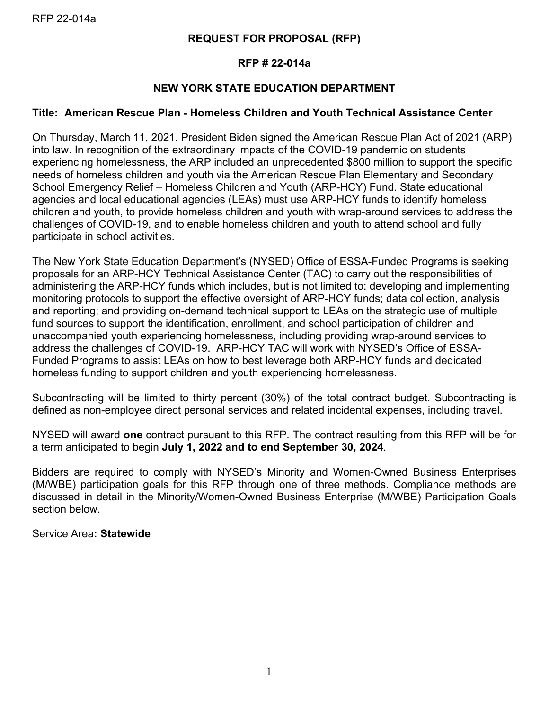## **REQUEST FOR PROPOSAL (RFP)**

## **RFP # 22-014a**

# **NEW YORK STATE EDUCATION DEPARTMENT**

## **Title: American Rescue Plan - Homeless Children and Youth Technical Assistance Center**

On Thursday, March 11, 2021, President Biden signed the American Rescue Plan Act of 2021 (ARP) into law. In recognition of the extraordinary impacts of the COVID-19 pandemic on students experiencing homelessness, the ARP included an unprecedented \$800 million to support the specific needs of homeless children and youth via the American Rescue Plan Elementary and Secondary School Emergency Relief – Homeless Children and Youth (ARP-HCY) Fund. State educational agencies and local educational agencies (LEAs) must use ARP-HCY funds to identify homeless children and youth, to provide homeless children and youth with wrap-around services to address the challenges of COVID-19, and to enable homeless children and youth to attend school and fully participate in school activities.

The New York State Education Department's (NYSED) Office of ESSA-Funded Programs is seeking proposals for an ARP-HCY Technical Assistance Center (TAC) to carry out the responsibilities of administering the ARP-HCY funds which includes, but is not limited to: developing and implementing monitoring protocols to support the effective oversight of ARP-HCY funds; data collection, analysis and reporting; and providing on-demand technical support to LEAs on the strategic use of multiple fund sources to support the identification, enrollment, and school participation of children and unaccompanied youth experiencing homelessness, including providing wrap-around services to address the challenges of COVID-19. ARP-HCY TAC will work with NYSED's Office of ESSA-Funded Programs to assist LEAs on how to best leverage both ARP-HCY funds and dedicated homeless funding to support children and youth experiencing homelessness.

Subcontracting will be limited to thirty percent (30%) of the total contract budget. Subcontracting is defined as non-employee direct personal services and related incidental expenses, including travel.

NYSED will award **one** contract pursuant to this RFP. The contract resulting from this RFP will be for a term anticipated to begin **July 1, 2022 and to end September 30, 2024**.

Bidders are required to comply with NYSED's Minority and Women-Owned Business Enterprises (M/WBE) participation goals for this RFP through one of three methods. Compliance methods are discussed in detail in the Minority/Women-Owned Business Enterprise (M/WBE) Participation Goals section below.

Service Area**: Statewide**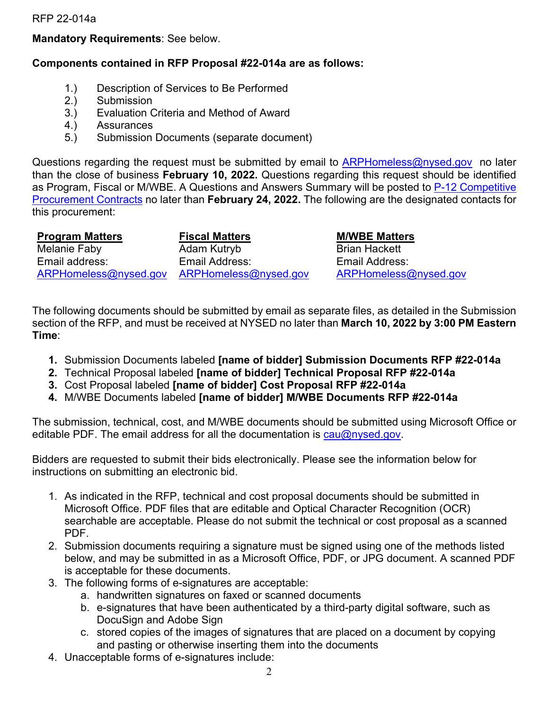#### **Mandatory Requirements**: See below.

#### **Components contained in RFP Proposal #22-014a are as follows:**

- 1.) Description of Services to Be Performed
- 2.) Submission
- 3.) Evaluation Criteria and Method of Award
- 4.) Assurances
- 5.) Submission Documents (separate document)

Questions regarding the request must be submitted by email to [ARPHomeless@nysed.gov](mailto:ARPHomeless@nysed.gov) no later than the close of business **February 10, 2022.** Questions regarding this request should be identified as Program, Fiscal or M/WBE. A Questions and Answers Summary will be posted to P-12 Competitive [Procurement Contracts](http://www.p12.nysed.gov/compcontracts/compcontracts.html) no later than **February 24, 2022.** The following are the designated contacts for this procurement:

| <b>Program Matters</b>                      | <b>Fiscal Matters</b> | <b>M/WBE Matters</b>  |
|---------------------------------------------|-----------------------|-----------------------|
| Melanie Faby                                | Adam Kutryb           | <b>Brian Hackett</b>  |
| Email address:                              | Email Address:        | Email Address:        |
| ARPHomeless@nysed.gov ARPHomeless@nysed.gov |                       | ARPHomeless@nysed.gov |

The following documents should be submitted by email as separate files, as detailed in the Submission section of the RFP, and must be received at NYSED no later than **March 10, 2022 by 3:00 PM Eastern Time**:

- **1.** Submission Documents labeled **[name of bidder] Submission Documents RFP #22-014a**
- **2.** Technical Proposal labeled **[name of bidder] Technical Proposal RFP #22-014a**
- **3.** Cost Proposal labeled **[name of bidder] Cost Proposal RFP #22-014a**
- **4.** M/WBE Documents labeled **[name of bidder] M/WBE Documents RFP #22-014a**

The submission, technical, cost, and M/WBE documents should be submitted using Microsoft Office or editable PDF. The email address for all the documentation is [cau@nysed.gov.](mailto:cau@nysed.gov)

Bidders are requested to submit their bids electronically. Please see the information below for instructions on submitting an electronic bid.

- 1. As indicated in the RFP, technical and cost proposal documents should be submitted in Microsoft Office. PDF files that are editable and Optical Character Recognition (OCR) searchable are acceptable. Please do not submit the technical or cost proposal as a scanned PDF.
- 2. Submission documents requiring a signature must be signed using one of the methods listed below, and may be submitted in as a Microsoft Office, PDF, or JPG document. A scanned PDF is acceptable for these documents.
- 3. The following forms of e-signatures are acceptable:
	- a. handwritten signatures on faxed or scanned documents
	- b. e-signatures that have been authenticated by a third-party digital software, such as DocuSign and Adobe Sign
	- c. stored copies of the images of signatures that are placed on a document by copying and pasting or otherwise inserting them into the documents
- 4. Unacceptable forms of e-signatures include: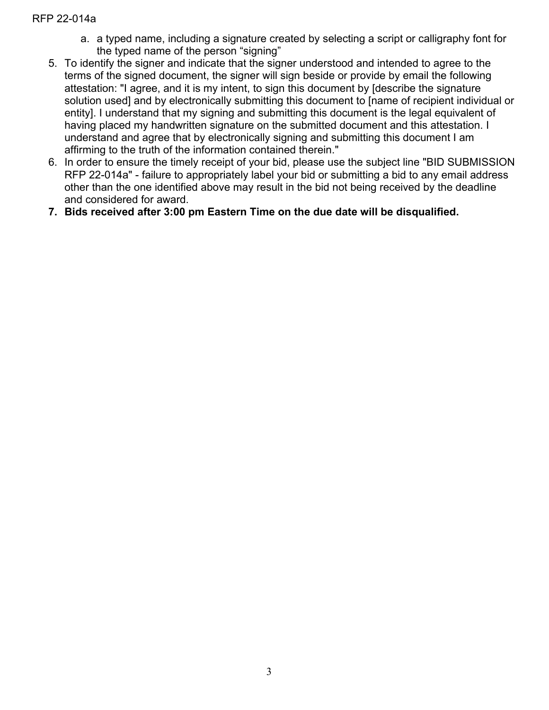- a. a typed name, including a signature created by selecting a script or calligraphy font for the typed name of the person "signing"
- 5. To identify the signer and indicate that the signer understood and intended to agree to the terms of the signed document, the signer will sign beside or provide by email the following attestation: "I agree, and it is my intent, to sign this document by [describe the signature solution used] and by electronically submitting this document to [name of recipient individual or entity]. I understand that my signing and submitting this document is the legal equivalent of having placed my handwritten signature on the submitted document and this attestation. I understand and agree that by electronically signing and submitting this document I am affirming to the truth of the information contained therein."
- 6. In order to ensure the timely receipt of your bid, please use the subject line "BID SUBMISSION RFP 22-014a" - failure to appropriately label your bid or submitting a bid to any email address other than the one identified above may result in the bid not being received by the deadline and considered for award.
- **7. Bids received after 3:00 pm Eastern Time on the due date will be disqualified.**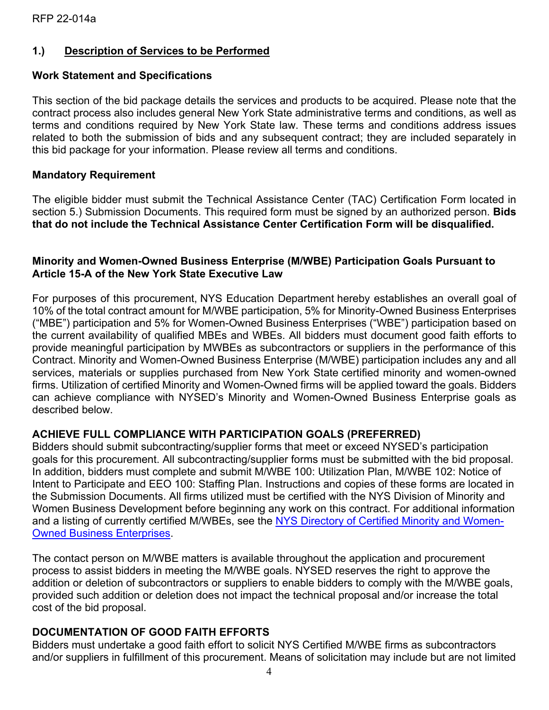## **1.) Description of Services to be Performed**

#### **Work Statement and Specifications**

This section of the bid package details the services and products to be acquired. Please note that the contract process also includes general New York State administrative terms and conditions, as well as terms and conditions required by New York State law. These terms and conditions address issues related to both the submission of bids and any subsequent contract; they are included separately in this bid package for your information. Please review all terms and conditions.

#### **Mandatory Requirement**

The eligible bidder must submit the Technical Assistance Center (TAC) Certification Form located in section 5.) Submission Documents. This required form must be signed by an authorized person. **Bids that do not include the Technical Assistance Center Certification Form will be disqualified.**

#### **Minority and Women-Owned Business Enterprise (M/WBE) Participation Goals Pursuant to Article 15-A of the New York State Executive Law**

For purposes of this procurement, NYS Education Department hereby establishes an overall goal of 10% of the total contract amount for M/WBE participation, 5% for Minority-Owned Business Enterprises ("MBE") participation and 5% for Women-Owned Business Enterprises ("WBE") participation based on the current availability of qualified MBEs and WBEs. All bidders must document good faith efforts to provide meaningful participation by MWBEs as subcontractors or suppliers in the performance of this Contract. Minority and Women-Owned Business Enterprise (M/WBE) participation includes any and all services, materials or supplies purchased from New York State certified minority and women-owned firms. Utilization of certified Minority and Women-Owned firms will be applied toward the goals. Bidders can achieve compliance with NYSED's Minority and Women-Owned Business Enterprise goals as described below.

## **ACHIEVE FULL COMPLIANCE WITH PARTICIPATION GOALS (PREFERRED)**

Bidders should submit subcontracting/supplier forms that meet or exceed NYSED's participation goals for this procurement. All subcontracting/supplier forms must be submitted with the bid proposal. In addition, bidders must complete and submit M/WBE 100: Utilization Plan, M/WBE 102: Notice of Intent to Participate and EEO 100: Staffing Plan. Instructions and copies of these forms are located in the Submission Documents. All firms utilized must be certified with the NYS Division of Minority and Women Business Development before beginning any work on this contract. For additional information and a listing of currently certified M/WBEs, see the [NYS Directory of Certified Minority and Women-](https://ny.newnycontracts.com/FrontEnd/VendorSearchPublic.asp?TN=ny&XID=4687)[Owned Business Enterprises.](https://ny.newnycontracts.com/FrontEnd/VendorSearchPublic.asp?TN=ny&XID=4687)

The contact person on M/WBE matters is available throughout the application and procurement process to assist bidders in meeting the M/WBE goals. NYSED reserves the right to approve the addition or deletion of subcontractors or suppliers to enable bidders to comply with the M/WBE goals, provided such addition or deletion does not impact the technical proposal and/or increase the total cost of the bid proposal.

## **DOCUMENTATION OF GOOD FAITH EFFORTS**

Bidders must undertake a good faith effort to solicit NYS Certified M/WBE firms as subcontractors and/or suppliers in fulfillment of this procurement. Means of solicitation may include but are not limited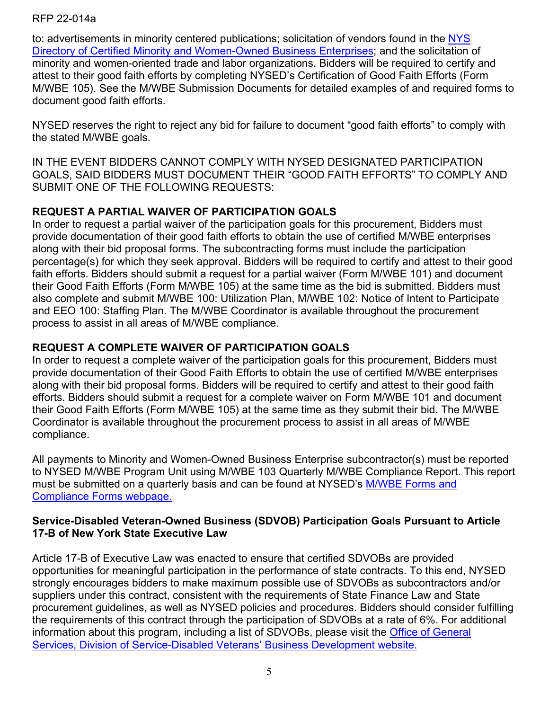to: advertisements in minority centered publications; solicitation of vendors found in the [NYS](https://ny.newnycontracts.com/FrontEnd/VendorSearchPublic.asp?TN=ny&XID=4687)  [Directory of Certified Minority and Women-Owned Business Enterprises;](https://ny.newnycontracts.com/FrontEnd/VendorSearchPublic.asp?TN=ny&XID=4687) and the solicitation of minority and women-oriented trade and labor organizations. Bidders will be required to certify and attest to their good faith efforts by completing NYSED's Certification of Good Faith Efforts (Form M/WBE 105). See the M/WBE Submission Documents for detailed examples of and required forms to document good faith efforts.

NYSED reserves the right to reject any bid for failure to document "good faith efforts" to comply with the stated M/WBE goals.

IN THE EVENT BIDDERS CANNOT COMPLY WITH NYSED DESIGNATED PARTICIPATION GOALS, SAID BIDDERS MUST DOCUMENT THEIR "GOOD FAITH EFFORTS" TO COMPLY AND SUBMIT ONE OF THE FOLLOWING REQUESTS:

# **REQUEST A PARTIAL WAIVER OF PARTICIPATION GOALS**

In order to request a partial waiver of the participation goals for this procurement, Bidders must provide documentation of their good faith efforts to obtain the use of certified M/WBE enterprises along with their bid proposal forms. The subcontracting forms must include the participation percentage(s) for which they seek approval. Bidders will be required to certify and attest to their good faith efforts. Bidders should submit a request for a partial waiver (Form M/WBE 101) and document their Good Faith Efforts (Form M/WBE 105) at the same time as the bid is submitted. Bidders must also complete and submit M/WBE 100: Utilization Plan, M/WBE 102: Notice of Intent to Participate and EEO 100: Staffing Plan. The M/WBE Coordinator is available throughout the procurement process to assist in all areas of M/WBE compliance.

## **REQUEST A COMPLETE WAIVER OF PARTICIPATION GOALS**

In order to request a complete waiver of the participation goals for this procurement, Bidders must provide documentation of their Good Faith Efforts to obtain the use of certified M/WBE enterprises along with their bid proposal forms. Bidders will be required to certify and attest to their good faith efforts. Bidders should submit a request for a complete waiver on Form M/WBE 101 and document their Good Faith Efforts (Form M/WBE 105) at the same time as they submit their bid. The M/WBE Coordinator is available throughout the procurement process to assist in all areas of M/WBE compliance.

All payments to Minority and Women-Owned Business Enterprise subcontractor(s) must be reported to NYSED M/WBE Program Unit using M/WBE 103 Quarterly M/WBE Compliance Report. This report must be submitted on a quarterly basis and can be found at NYSED's [M/WBE Forms and](http://www.oms.nysed.gov/fiscal/MWBE/Forms.html)  [Compliance Forms](http://www.oms.nysed.gov/fiscal/MWBE/Forms.html) webpage.

#### **Service-Disabled Veteran-Owned Business (SDVOB) Participation Goals Pursuant to Article 17-B of New York State Executive Law**

Article 17-B of Executive Law was enacted to ensure that certified SDVOBs are provided opportunities for meaningful participation in the performance of state contracts. To this end, NYSED strongly encourages bidders to make maximum possible use of SDVOBs as subcontractors and/or suppliers under this contract, consistent with the requirements of State Finance Law and State procurement guidelines, as well as NYSED policies and procedures. Bidders should consider fulfilling the requirements of this contract through the participation of SDVOBs at a rate of 6%. For additional information about this program, including a list of SDVOBs, please visit the [Office of General](https://www.ogs.ny.gov/veterans)  [Services, Division of Service-Disabled Veterans' Business Development website.](https://www.ogs.ny.gov/veterans)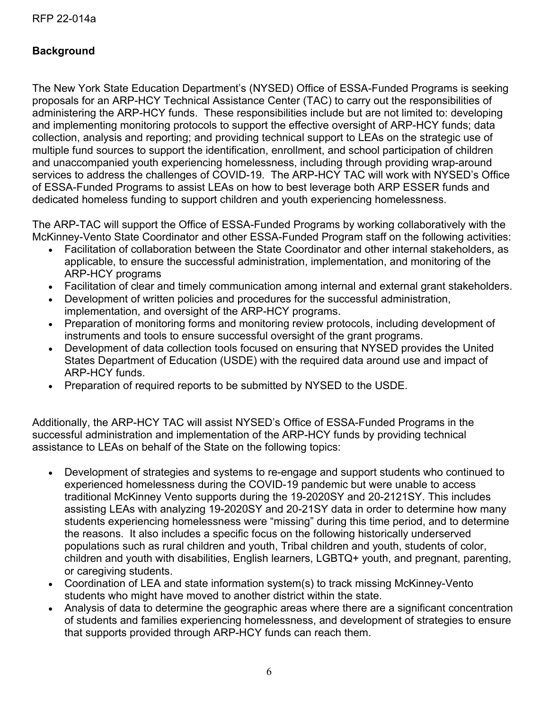# **Background**

The New York State Education Department's (NYSED) Office of ESSA-Funded Programs is seeking proposals for an ARP-HCY Technical Assistance Center (TAC) to carry out the responsibilities of administering the ARP-HCY funds. These responsibilities include but are not limited to: developing and implementing monitoring protocols to support the effective oversight of ARP-HCY funds; data collection, analysis and reporting; and providing technical support to LEAs on the strategic use of multiple fund sources to support the identification, enrollment, and school participation of children and unaccompanied youth experiencing homelessness, including through providing wrap-around services to address the challenges of COVID-19. The ARP-HCY TAC will work with NYSED's Office of ESSA-Funded Programs to assist LEAs on how to best leverage both ARP ESSER funds and dedicated homeless funding to support children and youth experiencing homelessness.

The ARP-TAC will support the Office of ESSA-Funded Programs by working collaboratively with the McKinney-Vento State Coordinator and other ESSA-Funded Program staff on the following activities:

- Facilitation of collaboration between the State Coordinator and other internal stakeholders, as applicable, to ensure the successful administration, implementation, and monitoring of the ARP-HCY programs
- Facilitation of clear and timely communication among internal and external grant stakeholders.
- Development of written policies and procedures for the successful administration, implementation, and oversight of the ARP-HCY programs.
- Preparation of monitoring forms and monitoring review protocols, including development of instruments and tools to ensure successful oversight of the grant programs.
- Development of data collection tools focused on ensuring that NYSED provides the United States Department of Education (USDE) with the required data around use and impact of ARP-HCY funds.
- Preparation of required reports to be submitted by NYSED to the USDE.

Additionally, the ARP-HCY TAC will assist NYSED's Office of ESSA-Funded Programs in the successful administration and implementation of the ARP-HCY funds by providing technical assistance to LEAs on behalf of the State on the following topics:

- Development of strategies and systems to re-engage and support students who continued to experienced homelessness during the COVID-19 pandemic but were unable to access traditional McKinney Vento supports during the 19-2020SY and 20-2121SY. This includes assisting LEAs with analyzing 19-2020SY and 20-21SY data in order to determine how many students experiencing homelessness were "missing" during this time period, and to determine the reasons. It also includes a specific focus on the following historically underserved populations such as rural children and youth, Tribal children and youth, students of color, children and youth with disabilities, English learners, LGBTQ+ youth, and pregnant, parenting, or caregiving students.
- Coordination of LEA and state information system(s) to track missing McKinney-Vento students who might have moved to another district within the state.
- Analysis of data to determine the geographic areas where there are a significant concentration of students and families experiencing homelessness, and development of strategies to ensure that supports provided through ARP-HCY funds can reach them.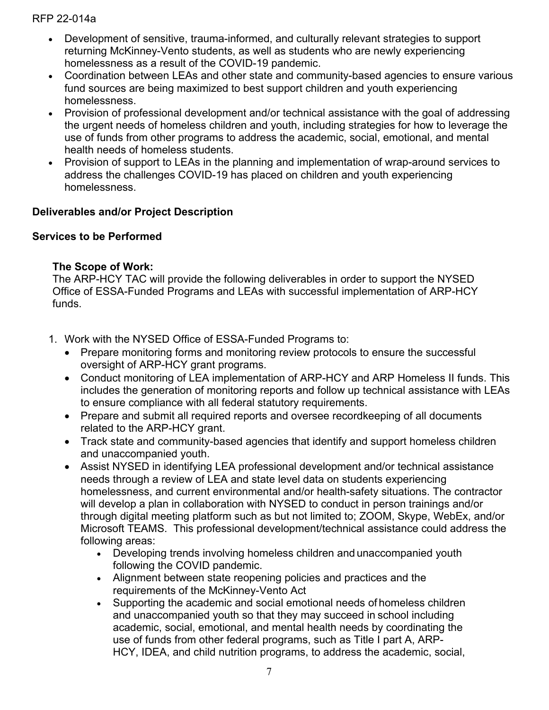- Development of sensitive, trauma-informed, and culturally relevant strategies to support returning McKinney-Vento students, as well as students who are newly experiencing homelessness as a result of the COVID-19 pandemic.
- Coordination between LEAs and other state and community-based agencies to ensure various fund sources are being maximized to best support children and youth experiencing homelessness.
- Provision of professional development and/or technical assistance with the goal of addressing the urgent needs of homeless children and youth, including strategies for how to leverage the use of funds from other programs to address the academic, social, emotional, and mental health needs of homeless students.
- Provision of support to LEAs in the planning and implementation of wrap-around services to address the challenges COVID-19 has placed on children and youth experiencing homelessness.

## **Deliverables and/or Project Description**

## **Services to be Performed**

#### **The Scope of Work:**

The ARP-HCY TAC will provide the following deliverables in order to support the NYSED Office of ESSA-Funded Programs and LEAs with successful implementation of ARP-HCY funds.

- 1. Work with the NYSED Office of ESSA-Funded Programs to:
	- Prepare monitoring forms and monitoring review protocols to ensure the successful oversight of ARP-HCY grant programs.
	- Conduct monitoring of LEA implementation of ARP-HCY and ARP Homeless II funds. This includes the generation of monitoring reports and follow up technical assistance with LEAs to ensure compliance with all federal statutory requirements.
	- Prepare and submit all required reports and oversee recordkeeping of all documents related to the ARP-HCY grant.
	- Track state and community-based agencies that identify and support homeless children and unaccompanied youth.
	- Assist NYSED in identifying LEA professional development and/or technical assistance needs through a review of LEA and state level data on students experiencing homelessness, and current environmental and/or health-safety situations. The contractor will develop a plan in collaboration with NYSED to conduct in person trainings and/or through digital meeting platform such as but not limited to; ZOOM, Skype, WebEx, and/or Microsoft TEAMS. This professional development/technical assistance could address the following areas:
		- Developing trends involving homeless children and unaccompanied youth following the COVID pandemic.
		- Alignment between state reopening policies and practices and the requirements of the McKinney-Vento Act
		- Supporting the academic and social emotional needs of homeless children and unaccompanied youth so that they may succeed in school including academic, social, emotional, and mental health needs by coordinating the use of funds from other federal programs, such as Title I part A, ARP-HCY, IDEA, and child nutrition programs, to address the academic, social,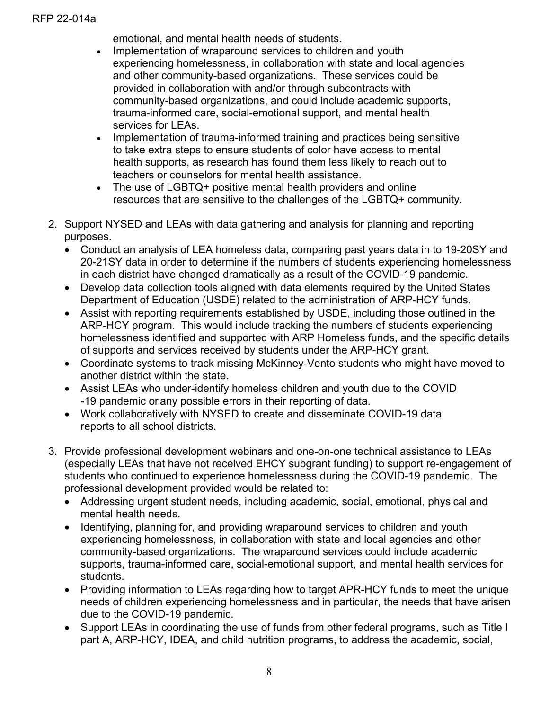emotional, and mental health needs of students.

- Implementation of wraparound services to children and youth experiencing homelessness, in collaboration with state and local agencies and other community-based organizations. These services could be provided in collaboration with and/or through subcontracts with community-based organizations, and could include academic supports, trauma-informed care, social-emotional support, and mental health services for LEAs.
- Implementation of trauma-informed training and practices being sensitive to take extra steps to ensure students of color have access to mental health supports, as research has found them less likely to reach out to teachers or counselors for mental health assistance.
- The use of LGBTQ+ positive mental health providers and online resources that are sensitive to the challenges of the LGBTQ+ community.
- 2. Support NYSED and LEAs with data gathering and analysis for planning and reporting purposes.
	- Conduct an analysis of LEA homeless data, comparing past years data in to 19-20SY and 20-21SY data in order to determine if the numbers of students experiencing homelessness in each district have changed dramatically as a result of the COVID-19 pandemic.
	- Develop data collection tools aligned with data elements required by the United States Department of Education (USDE) related to the administration of ARP-HCY funds.
	- Assist with reporting requirements established by USDE, including those outlined in the ARP-HCY program. This would include tracking the numbers of students experiencing homelessness identified and supported with ARP Homeless funds, and the specific details of supports and services received by students under the ARP-HCY grant.
	- Coordinate systems to track missing McKinney-Vento students who might have moved to another district within the state.
	- Assist LEAs who under-identify homeless children and youth due to the COVID -19 pandemic or any possible errors in their reporting of data.
	- Work collaboratively with NYSED to create and disseminate COVID-19 data reports to all school districts.
- 3. Provide professional development webinars and one-on-one technical assistance to LEAs (especially LEAs that have not received EHCY subgrant funding) to support re-engagement of students who continued to experience homelessness during the COVID-19 pandemic. The professional development provided would be related to:
	- Addressing urgent student needs, including academic, social, emotional, physical and mental health needs.
	- Identifying, planning for, and providing wraparound services to children and youth experiencing homelessness, in collaboration with state and local agencies and other community-based organizations. The wraparound services could include academic supports, trauma-informed care, social-emotional support, and mental health services for students.
	- Providing information to LEAs regarding how to target APR-HCY funds to meet the unique needs of children experiencing homelessness and in particular, the needs that have arisen due to the COVID-19 pandemic.
	- Support LEAs in coordinating the use of funds from other federal programs, such as Title I part A, ARP-HCY, IDEA, and child nutrition programs, to address the academic, social,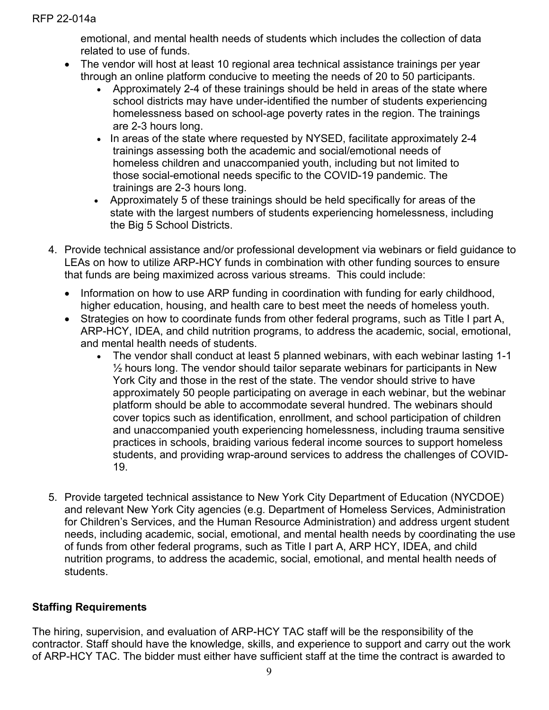emotional, and mental health needs of students which includes the collection of data related to use of funds.

- The vendor will host at least 10 regional area technical assistance trainings per year through an online platform conducive to meeting the needs of 20 to 50 participants.
	- Approximately 2-4 of these trainings should be held in areas of the state where school districts may have under-identified the number of students experiencing homelessness based on school-age poverty rates in the region. The trainings are 2-3 hours long.
	- In areas of the state where requested by NYSED, facilitate approximately 2-4 trainings assessing both the academic and social/emotional needs of homeless children and unaccompanied youth, including but not limited to those social-emotional needs specific to the COVID-19 pandemic. The trainings are 2-3 hours long.
	- Approximately 5 of these trainings should be held specifically for areas of the state with the largest numbers of students experiencing homelessness, including the Big 5 School Districts.
- 4. Provide technical assistance and/or professional development via webinars or field guidance to LEAs on how to utilize ARP-HCY funds in combination with other funding sources to ensure that funds are being maximized across various streams. This could include:
	- Information on how to use ARP funding in coordination with funding for early childhood, higher education, housing, and health care to best meet the needs of homeless youth.
	- Strategies on how to coordinate funds from other federal programs, such as Title I part A, ARP-HCY, IDEA, and child nutrition programs, to address the academic, social, emotional, and mental health needs of students.
		- The vendor shall conduct at least 5 planned webinars, with each webinar lasting 1-1  $\frac{1}{2}$  hours long. The vendor should tailor separate webinars for participants in New York City and those in the rest of the state. The vendor should strive to have approximately 50 people participating on average in each webinar, but the webinar platform should be able to accommodate several hundred. The webinars should cover topics such as identification, enrollment, and school participation of children and unaccompanied youth experiencing homelessness, including trauma sensitive practices in schools, braiding various federal income sources to support homeless students, and providing wrap-around services to address the challenges of COVID-19.
- 5. Provide targeted technical assistance to New York City Department of Education (NYCDOE) and relevant New York City agencies (e.g. Department of Homeless Services, Administration for Children's Services, and the Human Resource Administration) and address urgent student needs, including academic, social, emotional, and mental health needs by coordinating the use of funds from other federal programs, such as Title I part A, ARP HCY, IDEA, and child nutrition programs, to address the academic, social, emotional, and mental health needs of students.

# **Staffing Requirements**

The hiring, supervision, and evaluation of ARP-HCY TAC staff will be the responsibility of the contractor. Staff should have the knowledge, skills, and experience to support and carry out the work of ARP-HCY TAC. The bidder must either have sufficient staff at the time the contract is awarded to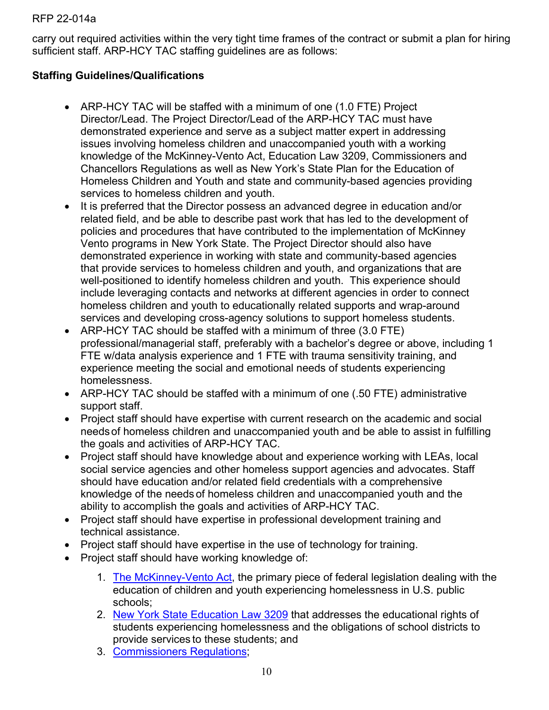carry out required activities within the very tight time frames of the contract or submit a plan for hiring sufficient staff. ARP-HCY TAC staffing guidelines are as follows:

## **Staffing Guidelines/Qualifications**

- ARP-HCY TAC will be staffed with a minimum of one (1.0 FTE) Project Director/Lead. The Project Director/Lead of the ARP-HCY TAC must have demonstrated experience and serve as a subject matter expert in addressing issues involving homeless children and unaccompanied youth with a working knowledge of the McKinney-Vento Act, Education Law 3209, Commissioners and Chancellors Regulations as well as New York's State Plan for the Education of Homeless Children and Youth and state and community-based agencies providing services to homeless children and youth.
- It is preferred that the Director possess an advanced degree in education and/or related field, and be able to describe past work that has led to the development of policies and procedures that have contributed to the implementation of McKinney Vento programs in New York State. The Project Director should also have demonstrated experience in working with state and community-based agencies that provide services to homeless children and youth, and organizations that are well-positioned to identify homeless children and youth. This experience should include leveraging contacts and networks at different agencies in order to connect homeless children and youth to educationally related supports and wrap-around services and developing cross-agency solutions to support homeless students.
- ARP-HCY TAC should be staffed with a minimum of three (3.0 FTE) professional/managerial staff, preferably with a bachelor's degree or above, including 1 FTE w/data analysis experience and 1 FTE with trauma sensitivity training, and experience meeting the social and emotional needs of students experiencing homelessness.
- ARP-HCY TAC should be staffed with a minimum of one (.50 FTE) administrative support staff.
- Project staff should have expertise with current research on the academic and social needsof homeless children and unaccompanied youth and be able to assist in fulfilling the goals and activities of ARP-HCY TAC.
- Project staff should have knowledge about and experience working with LEAs, local social service agencies and other homeless support agencies and advocates. Staff should have education and/or related field credentials with a comprehensive knowledge of the needs of homeless children and unaccompanied youth and the ability to accomplish the goals and activities of ARP-HCY TAC.
- Project staff should have expertise in professional development training and technical assistance.
- Project staff should have expertise in the use of technology for training.
- Project staff should have working knowledge of:
	- 1. [The McKinney-Vento Act,](https://nysteachs.org/wp-content/uploads/2018/10/INF_LP_MVAct.pdf) the primary piece of federal legislation dealing with the education of children and youth experiencing homelessness in U.S. public schools;
	- 2. [New York State Education Law 3209](http://www.p12.nysed.gov/sss/lawsregs/3209.html) that addresses the educational rights of students experiencing homelessness and the obligations of school districts to provide services to these students; and
	- 3. [Commissioners Regulations;](http://www.emsc.nysed.gov/part100/pages/1002.html#x)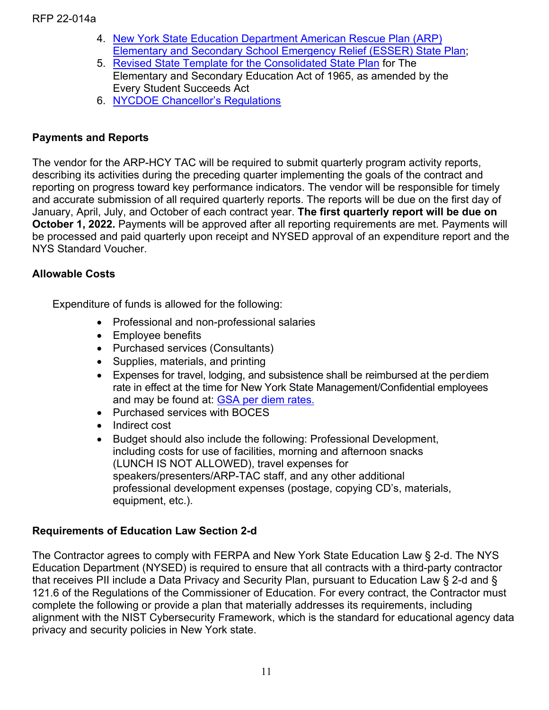- 4. [New York State Education Department American Rescue Plan \(ARP\)](http://www.p12.nysed.gov/funding/arp-esser/nysed-arp-esser-plan.pdf)  [Elementary and Secondary School Emergency Relief \(ESSER\)](http://www.p12.nysed.gov/funding/arp-esser/nysed-arp-esser-plan.pdf) State Plan;
- 5. [Revised State Template for the Consolidated State Plan](http://www.nysed.gov/common/nysed/files/programs/essa/nys-essa-plan.pdf) for The Elementary and Secondary Education Act of 1965, as amended by the Every Student Succeeds Act
- 6. [NYCDOE Chancellor's Regulations](https://www.schools.nyc.gov/docs/default-source/default-document-library/a-780-4-18-19-final-combined-remediated-wcag2-0)

#### **Payments and Reports**

The vendor for the ARP-HCY TAC will be required to submit quarterly program activity reports, describing its activities during the preceding quarter implementing the goals of the contract and reporting on progress toward key performance indicators. The vendor will be responsible for timely and accurate submission of all required quarterly reports. The reports will be due on the first day of January, April, July, and October of each contract year. **The first quarterly report will be due on October 1, 2022.** Payments will be approved after all reporting requirements are met. Payments will be processed and paid quarterly upon receipt and NYSED approval of an expenditure report and the NYS Standard Voucher.

#### **Allowable Costs**

Expenditure of funds is allowed for the following:

- Professional and non-professional salaries
- Employee benefits
- Purchased services (Consultants)
- Supplies, materials, and printing
- Expenses for travel, lodging, and subsistence shall be reimbursed at the perdiem rate in effect at the time for New York State Management/Confidential employees and may be found at: [GSA per diem rates.](http://www.gsa.gov/portal/content/104877)
- Purchased services with BOCES
- Indirect cost
- Budget should also include the following: Professional Development, including costs for use of facilities, morning and afternoon snacks (LUNCH IS NOT ALLOWED), travel expenses for speakers/presenters/ARP-TAC staff, and any other additional professional development expenses (postage, copying CD's, materials, equipment, etc.).

## **Requirements of Education Law Section 2-d**

The Contractor agrees to comply with FERPA and New York State Education Law § 2-d. The NYS Education Department (NYSED) is required to ensure that all contracts with a third-party contractor that receives PII include a Data Privacy and Security Plan, pursuant to Education Law § 2-d and § 121.6 of the Regulations of the Commissioner of Education. For every contract, the Contractor must complete the following or provide a plan that materially addresses its requirements, including alignment with the NIST Cybersecurity Framework, which is the standard for educational agency data privacy and security policies in New York state.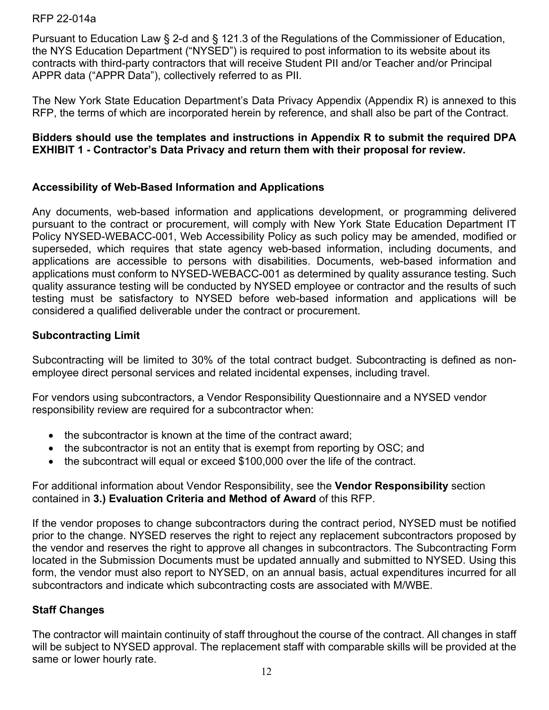Pursuant to Education Law § 2-d and § 121.3 of the Regulations of the Commissioner of Education, the NYS Education Department ("NYSED") is required to post information to its website about its contracts with third-party contractors that will receive Student PII and/or Teacher and/or Principal APPR data ("APPR Data"), collectively referred to as PII.

The New York State Education Department's Data Privacy Appendix (Appendix R) is annexed to this RFP, the terms of which are incorporated herein by reference, and shall also be part of the Contract.

#### **Bidders should use the templates and instructions in Appendix R to submit the required DPA EXHIBIT 1 - Contractor's Data Privacy and return them with their proposal for review.**

## **Accessibility of Web-Based Information and Applications**

Any documents, web-based information and applications development, or programming delivered pursuant to the contract or procurement, will comply with New York State Education Department IT Policy NYSED-WEBACC-001, Web Accessibility Policy as such policy may be amended, modified or superseded, which requires that state agency web-based information, including documents, and applications are accessible to persons with disabilities. Documents, web-based information and applications must conform to NYSED-WEBACC-001 as determined by quality assurance testing. Such quality assurance testing will be conducted by NYSED employee or contractor and the results of such testing must be satisfactory to NYSED before web-based information and applications will be considered a qualified deliverable under the contract or procurement.

## **Subcontracting Limit**

Subcontracting will be limited to 30% of the total contract budget. Subcontracting is defined as nonemployee direct personal services and related incidental expenses, including travel.

For vendors using subcontractors, a Vendor Responsibility Questionnaire and a NYSED vendor responsibility review are required for a subcontractor when:

- the subcontractor is known at the time of the contract award:
- the subcontractor is not an entity that is exempt from reporting by OSC; and
- the subcontract will equal or exceed \$100,000 over the life of the contract.

For additional information about Vendor Responsibility, see the **Vendor Responsibility** section contained in **3.) Evaluation Criteria and Method of Award** of this RFP.

If the vendor proposes to change subcontractors during the contract period, NYSED must be notified prior to the change. NYSED reserves the right to reject any replacement subcontractors proposed by the vendor and reserves the right to approve all changes in subcontractors. The Subcontracting Form located in the Submission Documents must be updated annually and submitted to NYSED. Using this form, the vendor must also report to NYSED, on an annual basis, actual expenditures incurred for all subcontractors and indicate which subcontracting costs are associated with M/WBE.

## **Staff Changes**

The contractor will maintain continuity of staff throughout the course of the contract. All changes in staff will be subject to NYSED approval. The replacement staff with comparable skills will be provided at the same or lower hourly rate.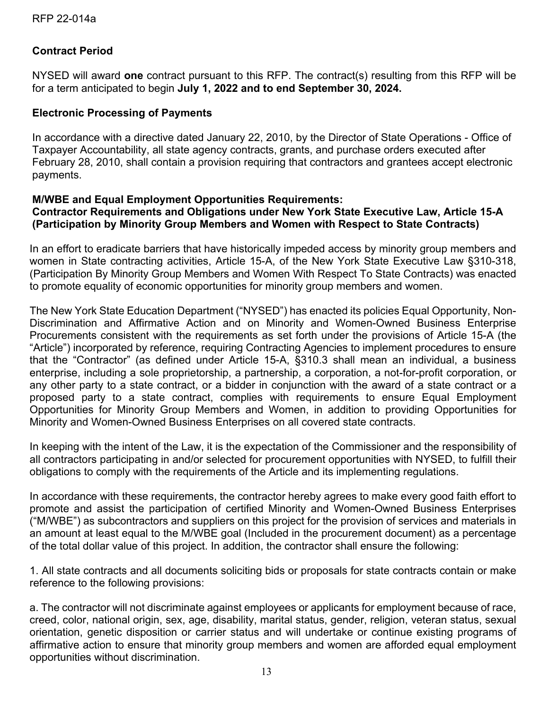## **Contract Period**

NYSED will award **one** contract pursuant to this RFP. The contract(s) resulting from this RFP will be for a term anticipated to begin **July 1, 2022 and to end September 30, 2024.**

#### **Electronic Processing of Payments**

In accordance with a directive dated January 22, 2010, by the Director of State Operations - Office of Taxpayer Accountability, all state agency contracts, grants, and purchase orders executed after February 28, 2010, shall contain a provision requiring that contractors and grantees accept electronic payments.

#### **M/WBE and Equal Employment Opportunities Requirements: Contractor Requirements and Obligations under New York State Executive Law, Article 15-A (Participation by Minority Group Members and Women with Respect to State Contracts)**

In an effort to eradicate barriers that have historically impeded access by minority group members and women in State contracting activities, Article 15-A, of the New York State Executive Law §310-318, (Participation By Minority Group Members and Women With Respect To State Contracts) was enacted to promote equality of economic opportunities for minority group members and women.

The New York State Education Department ("NYSED") has enacted its policies Equal Opportunity, Non-Discrimination and Affirmative Action and on Minority and Women-Owned Business Enterprise Procurements consistent with the requirements as set forth under the provisions of Article 15-A (the "Article") incorporated by reference, requiring Contracting Agencies to implement procedures to ensure that the "Contractor" (as defined under Article 15-A, §310.3 shall mean an individual, a business enterprise, including a sole proprietorship, a partnership, a corporation, a not-for-profit corporation, or any other party to a state contract, or a bidder in conjunction with the award of a state contract or a proposed party to a state contract, complies with requirements to ensure Equal Employment Opportunities for Minority Group Members and Women, in addition to providing Opportunities for Minority and Women-Owned Business Enterprises on all covered state contracts.

In keeping with the intent of the Law, it is the expectation of the Commissioner and the responsibility of all contractors participating in and/or selected for procurement opportunities with NYSED, to fulfill their obligations to comply with the requirements of the Article and its implementing regulations.

In accordance with these requirements, the contractor hereby agrees to make every good faith effort to promote and assist the participation of certified Minority and Women-Owned Business Enterprises ("M/WBE") as subcontractors and suppliers on this project for the provision of services and materials in an amount at least equal to the M/WBE goal (Included in the procurement document) as a percentage of the total dollar value of this project. In addition, the contractor shall ensure the following:

1. All state contracts and all documents soliciting bids or proposals for state contracts contain or make reference to the following provisions:

a. The contractor will not discriminate against employees or applicants for employment because of race, creed, color, national origin, sex, age, disability, marital status, gender, religion, veteran status, sexual orientation, genetic disposition or carrier status and will undertake or continue existing programs of affirmative action to ensure that minority group members and women are afforded equal employment opportunities without discrimination.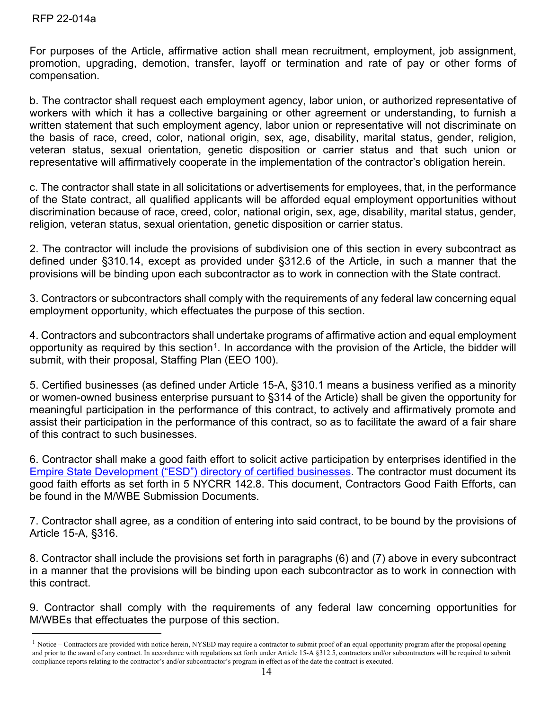For purposes of the Article, affirmative action shall mean recruitment, employment, job assignment, promotion, upgrading, demotion, transfer, layoff or termination and rate of pay or other forms of compensation.

b. The contractor shall request each employment agency, labor union, or authorized representative of workers with which it has a collective bargaining or other agreement or understanding, to furnish a written statement that such employment agency, labor union or representative will not discriminate on the basis of race, creed, color, national origin, sex, age, disability, marital status, gender, religion, veteran status, sexual orientation, genetic disposition or carrier status and that such union or representative will affirmatively cooperate in the implementation of the contractor's obligation herein.

c. The contractor shall state in all solicitations or advertisements for employees, that, in the performance of the State contract, all qualified applicants will be afforded equal employment opportunities without discrimination because of race, creed, color, national origin, sex, age, disability, marital status, gender, religion, veteran status, sexual orientation, genetic disposition or carrier status.

2. The contractor will include the provisions of subdivision one of this section in every subcontract as defined under §310.14, except as provided under §312.6 of the Article, in such a manner that the provisions will be binding upon each subcontractor as to work in connection with the State contract.

3. Contractors or subcontractors shall comply with the requirements of any federal law concerning equal employment opportunity, which effectuates the purpose of this section.

4. Contractors and subcontractors shall undertake programs of affirmative action and equal employment opportunity as required by this section<sup>1</sup>. In accordance with the provision of the Article, the bidder will submit, with their proposal, Staffing Plan (EEO 100).

5. Certified businesses (as defined under Article 15-A, §310.1 means a business verified as a minority or women-owned business enterprise pursuant to §314 of the Article) shall be given the opportunity for meaningful participation in the performance of this contract, to actively and affirmatively promote and assist their participation in the performance of this contract, so as to facilitate the award of a fair share of this contract to such businesses.

6. Contractor shall make a good faith effort to solicit active participation by enterprises identified in the [Empire State Development \("ESD"\) directory of certified businesses.](https://ny.newnycontracts.com/FrontEnd/VendorSearchPublic.asp?TN=ny&XID=4687) The contractor must document its good faith efforts as set forth in 5 NYCRR 142.8. This document, Contractors Good Faith Efforts, can be found in the M/WBE Submission Documents.

7. Contractor shall agree, as a condition of entering into said contract, to be bound by the provisions of Article 15-A, §316.

8. Contractor shall include the provisions set forth in paragraphs (6) and (7) above in every subcontract in a manner that the provisions will be binding upon each subcontractor as to work in connection with this contract.

9. Contractor shall comply with the requirements of any federal law concerning opportunities for M/WBEs that effectuates the purpose of this section.

<span id="page-13-0"></span> $<sup>1</sup>$  Notice – Contractors are provided with notice herein, NYSED may require a contractor to submit proof of an equal opportunity program after the proposal opening</sup> and prior to the award of any contract. In accordance with regulations set forth under Article 15-A §312.5, contractors and/or subcontractors will be required to submit compliance reports relating to the contractor's and/or subcontractor's program in effect as of the date the contract is executed.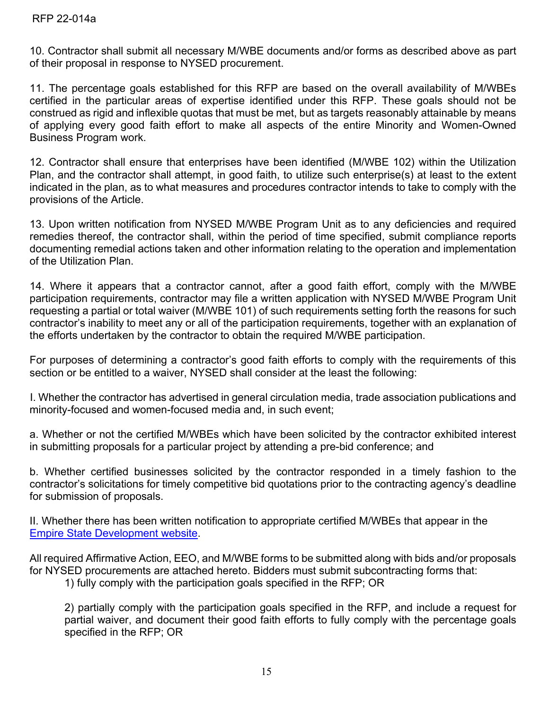10. Contractor shall submit all necessary M/WBE documents and/or forms as described above as part of their proposal in response to NYSED procurement.

11. The percentage goals established for this RFP are based on the overall availability of M/WBEs certified in the particular areas of expertise identified under this RFP. These goals should not be construed as rigid and inflexible quotas that must be met, but as targets reasonably attainable by means of applying every good faith effort to make all aspects of the entire Minority and Women-Owned Business Program work.

12. Contractor shall ensure that enterprises have been identified (M/WBE 102) within the Utilization Plan, and the contractor shall attempt, in good faith, to utilize such enterprise(s) at least to the extent indicated in the plan, as to what measures and procedures contractor intends to take to comply with the provisions of the Article.

13. Upon written notification from NYSED M/WBE Program Unit as to any deficiencies and required remedies thereof, the contractor shall, within the period of time specified, submit compliance reports documenting remedial actions taken and other information relating to the operation and implementation of the Utilization Plan.

14. Where it appears that a contractor cannot, after a good faith effort, comply with the M/WBE participation requirements, contractor may file a written application with NYSED M/WBE Program Unit requesting a partial or total waiver (M/WBE 101) of such requirements setting forth the reasons for such contractor's inability to meet any or all of the participation requirements, together with an explanation of the efforts undertaken by the contractor to obtain the required M/WBE participation.

For purposes of determining a contractor's good faith efforts to comply with the requirements of this section or be entitled to a waiver, NYSED shall consider at the least the following:

I. Whether the contractor has advertised in general circulation media, trade association publications and minority-focused and women-focused media and, in such event;

a. Whether or not the certified M/WBEs which have been solicited by the contractor exhibited interest in submitting proposals for a particular project by attending a pre-bid conference; and

b. Whether certified businesses solicited by the contractor responded in a timely fashion to the contractor's solicitations for timely competitive bid quotations prior to the contracting agency's deadline for submission of proposals.

II. Whether there has been written notification to appropriate certified M/WBEs that appear in the [Empire State Development website.](https://ny.newnycontracts.com/FrontEnd/VendorSearchPublic.asp?TN=ny&XID=4687)

All required Affirmative Action, EEO, and M/WBE forms to be submitted along with bids and/or proposals for NYSED procurements are attached hereto. Bidders must submit subcontracting forms that:

1) fully comply with the participation goals specified in the RFP; OR

2) partially comply with the participation goals specified in the RFP, and include a request for partial waiver, and document their good faith efforts to fully comply with the percentage goals specified in the RFP; OR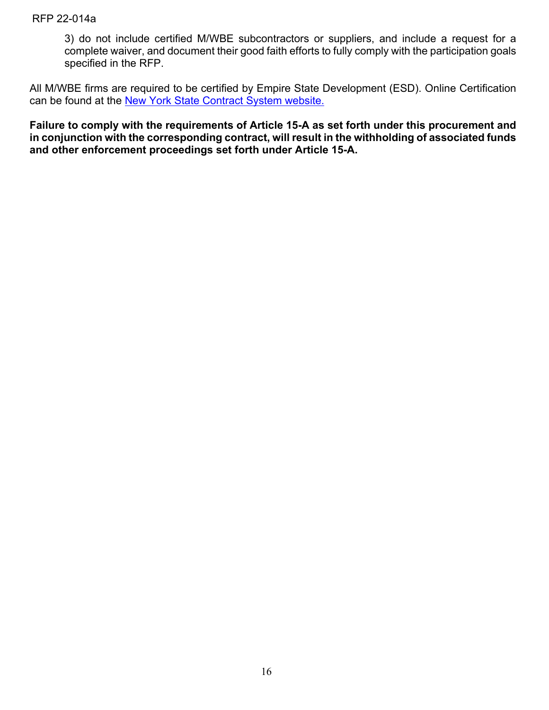3) do not include certified M/WBE subcontractors or suppliers, and include a request for a complete waiver, and document their good faith efforts to fully comply with the participation goals specified in the RFP.

All M/WBE firms are required to be certified by Empire State Development (ESD). Online Certification can be found at the [New York State Contract System](https://ny.newnycontracts.com/FrontEnd/StartCertification.asp?TN=ny&XID=2029) website.

**Failure to comply with the requirements of Article 15-A as set forth under this procurement and in conjunction with the corresponding contract, will result in the withholding of associated funds and other enforcement proceedings set forth under Article 15-A.**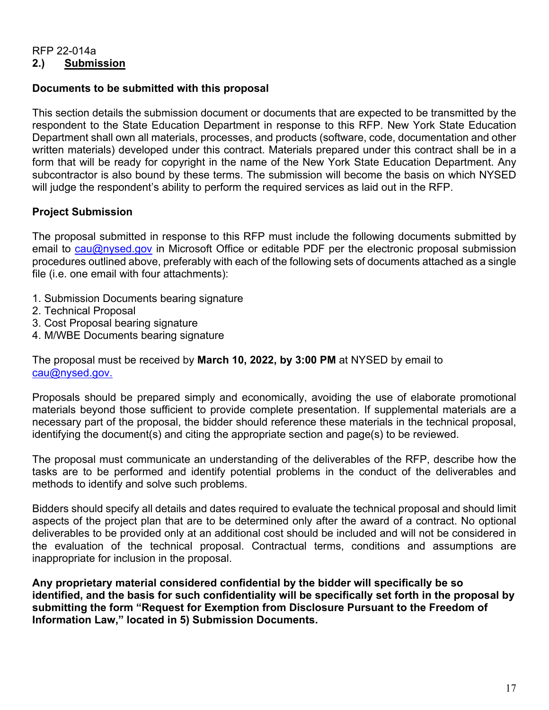#### RFP 22-014a **2.) Submission**

#### **Documents to be submitted with this proposal**

This section details the submission document or documents that are expected to be transmitted by the respondent to the State Education Department in response to this RFP. New York State Education Department shall own all materials, processes, and products (software, code, documentation and other written materials) developed under this contract. Materials prepared under this contract shall be in a form that will be ready for copyright in the name of the New York State Education Department. Any subcontractor is also bound by these terms. The submission will become the basis on which NYSED will judge the respondent's ability to perform the required services as laid out in the RFP.

## **Project Submission**

The proposal submitted in response to this RFP must include the following documents submitted by email to [cau@nysed.gov](mailto:cau@nysed.gov) in Microsoft Office or editable PDF per the electronic proposal submission procedures outlined above, preferably with each of the following sets of documents attached as a single file (i.e. one email with four attachments):

- 1. Submission Documents bearing signature
- 2. Technical Proposal
- 3. Cost Proposal bearing signature
- 4. M/WBE Documents bearing signature

The proposal must be received by **March 10, 2022, by 3:00 PM** at NYSED by email to [cau@nysed.gov.](mailto:cau@nysed.gov)

Proposals should be prepared simply and economically, avoiding the use of elaborate promotional materials beyond those sufficient to provide complete presentation. If supplemental materials are a necessary part of the proposal, the bidder should reference these materials in the technical proposal, identifying the document(s) and citing the appropriate section and page(s) to be reviewed.

The proposal must communicate an understanding of the deliverables of the RFP, describe how the tasks are to be performed and identify potential problems in the conduct of the deliverables and methods to identify and solve such problems.

Bidders should specify all details and dates required to evaluate the technical proposal and should limit aspects of the project plan that are to be determined only after the award of a contract. No optional deliverables to be provided only at an additional cost should be included and will not be considered in the evaluation of the technical proposal. Contractual terms, conditions and assumptions are inappropriate for inclusion in the proposal.

**Any proprietary material considered confidential by the bidder will specifically be so identified, and the basis for such confidentiality will be specifically set forth in the proposal by submitting the form "Request for Exemption from Disclosure Pursuant to the Freedom of Information Law," located in 5) Submission Documents.**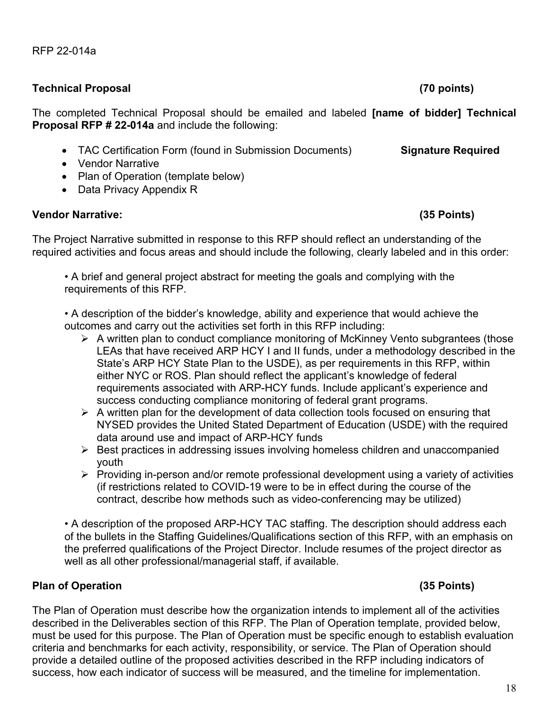#### **Technical Proposal (70 points)**

The completed Technical Proposal should be emailed and labeled **[name of bidder] Technical Proposal RFP # 22-014a** and include the following:

- TAC Certification Form (found in Submission Documents) **Signature Required**
- Vendor Narrative
- Plan of Operation (template below)
- Data Privacy Appendix R

## **Vendor Narrative: (35 Points)**

The Project Narrative submitted in response to this RFP should reflect an understanding of the required activities and focus areas and should include the following, clearly labeled and in this order:

• A brief and general project abstract for meeting the goals and complying with the requirements of this RFP.

• A description of the bidder's knowledge, ability and experience that would achieve the outcomes and carry out the activities set forth in this RFP including:

- $\triangleright$  A written plan to conduct compliance monitoring of McKinney Vento subgrantees (those LEAs that have received ARP HCY I and II funds, under a methodology described in the State's ARP HCY State Plan to the USDE), as per requirements in this RFP, within either NYC or ROS. Plan should reflect the applicant's knowledge of federal requirements associated with ARP-HCY funds. Include applicant's experience and success conducting compliance monitoring of federal grant programs.
- $\triangleright$  A written plan for the development of data collection tools focused on ensuring that NYSED provides the United Stated Department of Education (USDE) with the required data around use and impact of ARP-HCY funds
- $\triangleright$  Best practices in addressing issues involving homeless children and unaccompanied youth
- $\triangleright$  Providing in-person and/or remote professional development using a variety of activities (if restrictions related to COVID-19 were to be in effect during the course of the contract, describe how methods such as video-conferencing may be utilized)

• A description of the proposed ARP-HCY TAC staffing. The description should address each of the bullets in the Staffing Guidelines/Qualifications section of this RFP, with an emphasis on the preferred qualifications of the Project Director. Include resumes of the project director as well as all other professional/managerial staff, if available.

# **Plan of Operation (35 Points)**

The Plan of Operation must describe how the organization intends to implement all of the activities described in the Deliverables section of this RFP. The Plan of Operation template, provided below, must be used for this purpose. The Plan of Operation must be specific enough to establish evaluation criteria and benchmarks for each activity, responsibility, or service. The Plan of Operation should provide a detailed outline of the proposed activities described in the RFP including indicators of success, how each indicator of success will be measured, and the timeline for implementation.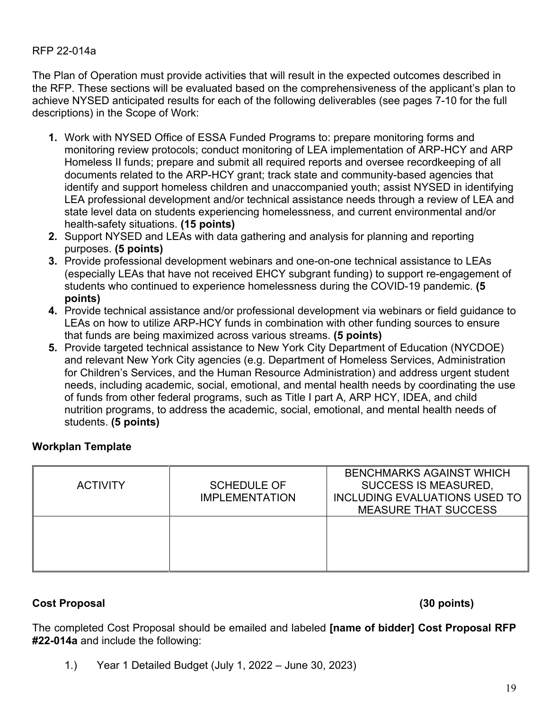The Plan of Operation must provide activities that will result in the expected outcomes described in the RFP. These sections will be evaluated based on the comprehensiveness of the applicant's plan to achieve NYSED anticipated results for each of the following deliverables (see pages 7-10 for the full descriptions) in the Scope of Work:

- **1.** Work with NYSED Office of ESSA Funded Programs to: prepare monitoring forms and monitoring review protocols; conduct monitoring of LEA implementation of ARP-HCY and ARP Homeless II funds; prepare and submit all required reports and oversee recordkeeping of all documents related to the ARP-HCY grant; track state and community-based agencies that identify and support homeless children and unaccompanied youth; assist NYSED in identifying LEA professional development and/or technical assistance needs through a review of LEA and state level data on students experiencing homelessness, and current environmental and/or health-safety situations. **(15 points)**
- **2.** Support NYSED and LEAs with data gathering and analysis for planning and reporting purposes. **(5 points)**
- **3.** Provide professional development webinars and one-on-one technical assistance to LEAs (especially LEAs that have not received EHCY subgrant funding) to support re-engagement of students who continued to experience homelessness during the COVID-19 pandemic. **(5 points)**
- **4.** Provide technical assistance and/or professional development via webinars or field guidance to LEAs on how to utilize ARP-HCY funds in combination with other funding sources to ensure that funds are being maximized across various streams. **(5 points)**
- **5.** Provide targeted technical assistance to New York City Department of Education (NYCDOE) and relevant New York City agencies (e.g. Department of Homeless Services, Administration for Children's Services, and the Human Resource Administration) and address urgent student needs, including academic, social, emotional, and mental health needs by coordinating the use of funds from other federal programs, such as Title I part A, ARP HCY, IDEA, and child nutrition programs, to address the academic, social, emotional, and mental health needs of students. **(5 points)**

#### **Workplan Template**

| <b>ACTIVITY</b> | <b>SCHEDULE OF</b><br><b>IMPLEMENTATION</b> | <b>BENCHMARKS AGAINST WHICH</b><br><b>SUCCESS IS MEASURED,</b><br>INCLUDING EVALUATIONS USED TO<br><b>MEASURE THAT SUCCESS</b> |
|-----------------|---------------------------------------------|--------------------------------------------------------------------------------------------------------------------------------|
|                 |                                             |                                                                                                                                |

#### **Cost Proposal (30 points)**

The completed Cost Proposal should be emailed and labeled **[name of bidder] Cost Proposal RFP #22-014a** and include the following:

1.) Year 1 Detailed Budget (July 1, 2022 – June 30, 2023)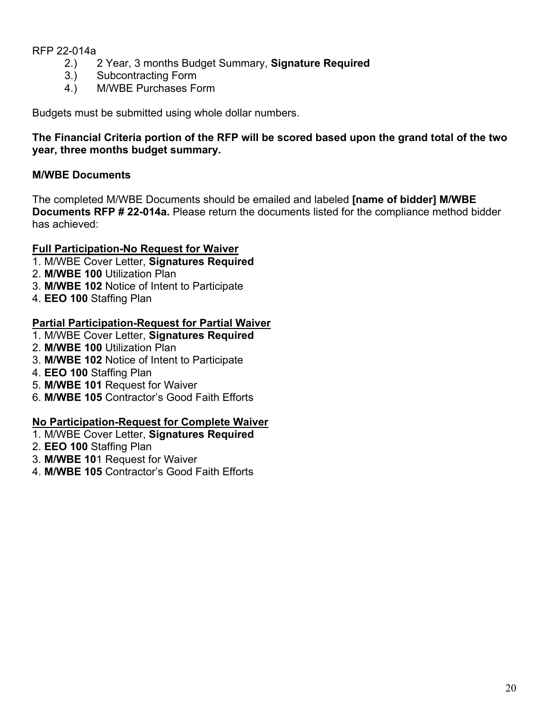- 2.) 2 Year, 3 months Budget Summary, **Signature Required**
- Subcontracting Form
- 4.) M/WBE Purchases Form

Budgets must be submitted using whole dollar numbers.

## **The Financial Criteria portion of the RFP will be scored based upon the grand total of the two year, three months budget summary.**

## **M/WBE Documents**

The completed M/WBE Documents should be emailed and labeled **[name of bidder] M/WBE Documents RFP # 22-014a.** Please return the documents listed for the compliance method bidder has achieved:

## **Full Participation-No Request for Waiver**

- 1. M/WBE Cover Letter, **Signatures Required**
- 2. **M/WBE 100** Utilization Plan
- 3. **M/WBE 102** Notice of Intent to Participate
- 4. **EEO 100** Staffing Plan

#### **Partial Participation-Request for Partial Waiver**

- 1. M/WBE Cover Letter, **Signatures Required**
- 2. **M/WBE 100** Utilization Plan
- 3. **M/WBE 102** Notice of Intent to Participate
- 4. **EEO 100** Staffing Plan
- 5. **M/WBE 101** Request for Waiver
- 6. **M/WBE 105** Contractor's Good Faith Efforts

## **No Participation-Request for Complete Waiver**

- 1. M/WBE Cover Letter, **Signatures Required**
- 2. **EEO 100** Staffing Plan
- 3. **M/WBE 10**1 Request for Waiver
- 4. **M/WBE 105** Contractor's Good Faith Efforts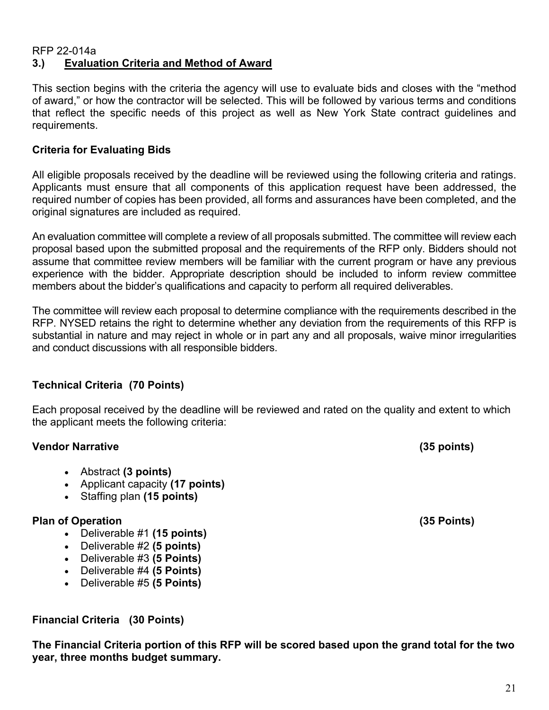#### RFP 22-014a **3.) Evaluation Criteria and Method of Award**

This section begins with the criteria the agency will use to evaluate bids and closes with the "method of award," or how the contractor will be selected. This will be followed by various terms and conditions that reflect the specific needs of this project as well as New York State contract guidelines and requirements.

## **Criteria for Evaluating Bids**

All eligible proposals received by the deadline will be reviewed using the following criteria and ratings. Applicants must ensure that all components of this application request have been addressed, the required number of copies has been provided, all forms and assurances have been completed, and the original signatures are included as required.

An evaluation committee will complete a review of all proposals submitted. The committee will review each proposal based upon the submitted proposal and the requirements of the RFP only. Bidders should not assume that committee review members will be familiar with the current program or have any previous experience with the bidder. Appropriate description should be included to inform review committee members about the bidder's qualifications and capacity to perform all required deliverables.

The committee will review each proposal to determine compliance with the requirements described in the RFP. NYSED retains the right to determine whether any deviation from the requirements of this RFP is substantial in nature and may reject in whole or in part any and all proposals, waive minor irregularities and conduct discussions with all responsible bidders.

## **Technical Criteria (70 Points)**

Each proposal received by the deadline will be reviewed and rated on the quality and extent to which the applicant meets the following criteria:

#### **Vendor Narrative (35 points)**

- Abstract **(3 points)**
- Applicant capacity **(17 points)**
- Staffing plan **(15 points)**

#### **Plan of Operation (35 Points)**

- Deliverable #1 **(15 points)**
- Deliverable #2 **(5 points)**
- Deliverable #3 **(5 Points)**
- Deliverable #4 **(5 Points)**
- Deliverable #5 **(5 Points)**

**Financial Criteria (30 Points)**

**The Financial Criteria portion of this RFP will be scored based upon the grand total for the two year, three months budget summary.**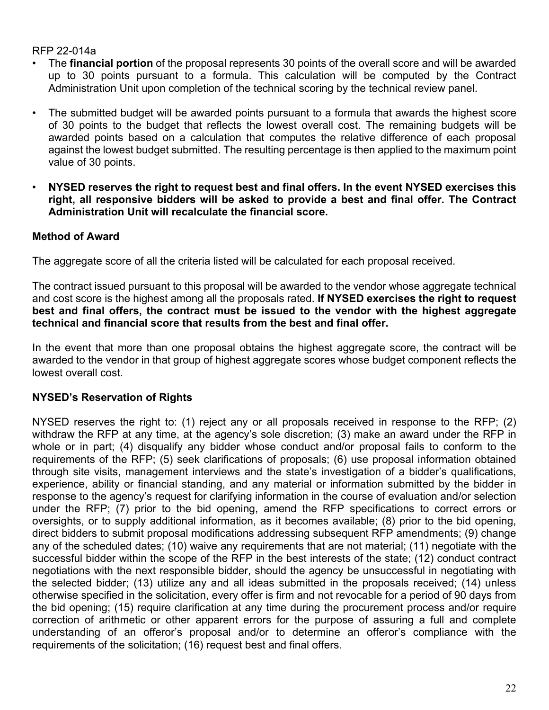- The **financial portion** of the proposal represents 30 points of the overall score and will be awarded up to 30 points pursuant to a formula. This calculation will be computed by the Contract Administration Unit upon completion of the technical scoring by the technical review panel.
- The submitted budget will be awarded points pursuant to a formula that awards the highest score of 30 points to the budget that reflects the lowest overall cost. The remaining budgets will be awarded points based on a calculation that computes the relative difference of each proposal against the lowest budget submitted. The resulting percentage is then applied to the maximum point value of 30 points.
- **NYSED reserves the right to request best and final offers. In the event NYSED exercises this right, all responsive bidders will be asked to provide a best and final offer. The Contract Administration Unit will recalculate the financial score.**

## **Method of Award**

The aggregate score of all the criteria listed will be calculated for each proposal received.

The contract issued pursuant to this proposal will be awarded to the vendor whose aggregate technical and cost score is the highest among all the proposals rated. **If NYSED exercises the right to request best and final offers, the contract must be issued to the vendor with the highest aggregate technical and financial score that results from the best and final offer.**

In the event that more than one proposal obtains the highest aggregate score, the contract will be awarded to the vendor in that group of highest aggregate scores whose budget component reflects the lowest overall cost.

# **NYSED's Reservation of Rights**

NYSED reserves the right to: (1) reject any or all proposals received in response to the RFP; (2) withdraw the RFP at any time, at the agency's sole discretion; (3) make an award under the RFP in whole or in part; (4) disqualify any bidder whose conduct and/or proposal fails to conform to the requirements of the RFP; (5) seek clarifications of proposals; (6) use proposal information obtained through site visits, management interviews and the state's investigation of a bidder's qualifications, experience, ability or financial standing, and any material or information submitted by the bidder in response to the agency's request for clarifying information in the course of evaluation and/or selection under the RFP; (7) prior to the bid opening, amend the RFP specifications to correct errors or oversights, or to supply additional information, as it becomes available; (8) prior to the bid opening, direct bidders to submit proposal modifications addressing subsequent RFP amendments; (9) change any of the scheduled dates; (10) waive any requirements that are not material; (11) negotiate with the successful bidder within the scope of the RFP in the best interests of the state; (12) conduct contract negotiations with the next responsible bidder, should the agency be unsuccessful in negotiating with the selected bidder; (13) utilize any and all ideas submitted in the proposals received; (14) unless otherwise specified in the solicitation, every offer is firm and not revocable for a period of 90 days from the bid opening; (15) require clarification at any time during the procurement process and/or require correction of arithmetic or other apparent errors for the purpose of assuring a full and complete understanding of an offeror's proposal and/or to determine an offeror's compliance with the requirements of the solicitation; (16) request best and final offers.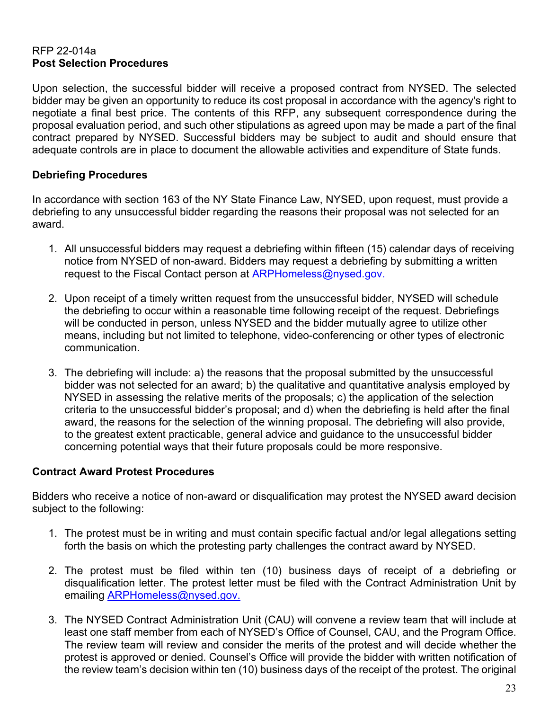#### RFP 22-014a **Post Selection Procedures**

Upon selection, the successful bidder will receive a proposed contract from NYSED. The selected bidder may be given an opportunity to reduce its cost proposal in accordance with the agency's right to negotiate a final best price. The contents of this RFP, any subsequent correspondence during the proposal evaluation period, and such other stipulations as agreed upon may be made a part of the final contract prepared by NYSED. Successful bidders may be subject to audit and should ensure that adequate controls are in place to document the allowable activities and expenditure of State funds.

## **Debriefing Procedures**

In accordance with section 163 of the NY State Finance Law, NYSED, upon request, must provide a debriefing to any unsuccessful bidder regarding the reasons their proposal was not selected for an award.

- 1. All unsuccessful bidders may request a debriefing within fifteen (15) calendar days of receiving notice from NYSED of non-award. Bidders may request a debriefing by submitting a written request to the Fiscal Contact person at [ARPHomeless@nysed.gov.](mailto:ARPHomeless@nysed.gov)
- 2. Upon receipt of a timely written request from the unsuccessful bidder, NYSED will schedule the debriefing to occur within a reasonable time following receipt of the request. Debriefings will be conducted in person, unless NYSED and the bidder mutually agree to utilize other means, including but not limited to telephone, video-conferencing or other types of electronic communication.
- 3. The debriefing will include: a) the reasons that the proposal submitted by the unsuccessful bidder was not selected for an award; b) the qualitative and quantitative analysis employed by NYSED in assessing the relative merits of the proposals; c) the application of the selection criteria to the unsuccessful bidder's proposal; and d) when the debriefing is held after the final award, the reasons for the selection of the winning proposal. The debriefing will also provide, to the greatest extent practicable, general advice and guidance to the unsuccessful bidder concerning potential ways that their future proposals could be more responsive.

## **Contract Award Protest Procedures**

Bidders who receive a notice of non-award or disqualification may protest the NYSED award decision subject to the following:

- 1. The protest must be in writing and must contain specific factual and/or legal allegations setting forth the basis on which the protesting party challenges the contract award by NYSED.
- 2. The protest must be filed within ten (10) business days of receipt of a debriefing or disqualification letter. The protest letter must be filed with the Contract Administration Unit by emailing [ARPHomeless@nysed.gov.](mailto:ARPHomeless@nysed.gov)
- 3. The NYSED Contract Administration Unit (CAU) will convene a review team that will include at least one staff member from each of NYSED's Office of Counsel, CAU, and the Program Office. The review team will review and consider the merits of the protest and will decide whether the protest is approved or denied. Counsel's Office will provide the bidder with written notification of the review team's decision within ten (10) business days of the receipt of the protest. The original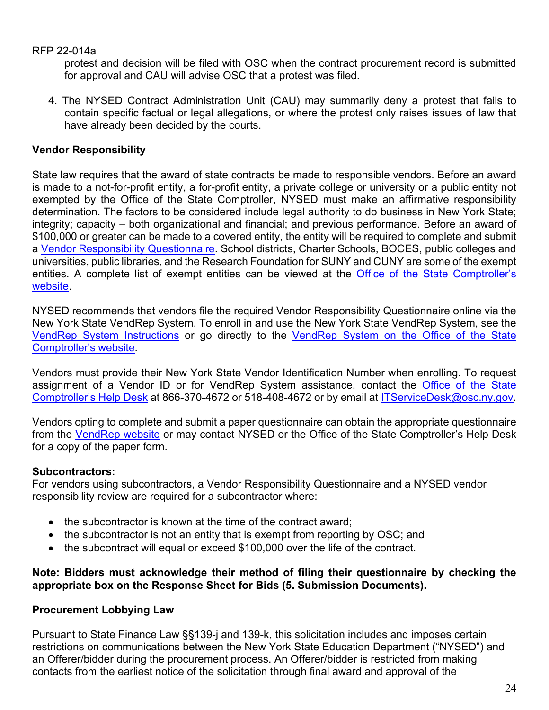protest and decision will be filed with OSC when the contract procurement record is submitted for approval and CAU will advise OSC that a protest was filed.

4. The NYSED Contract Administration Unit (CAU) may summarily deny a protest that fails to contain specific factual or legal allegations, or where the protest only raises issues of law that have already been decided by the courts.

## **Vendor Responsibility**

State law requires that the award of state contracts be made to responsible vendors. Before an award is made to a not-for-profit entity, a for-profit entity, a private college or university or a public entity not exempted by the Office of the State Comptroller, NYSED must make an affirmative responsibility determination. The factors to be considered include legal authority to do business in New York State; integrity; capacity – both organizational and financial; and previous performance. Before an award of \$100,000 or greater can be made to a covered entity, the entity will be required to complete and submit a [Vendor Responsibility Questionnaire.](http://osc.state.ny.us/vendrep/) School districts, Charter Schools, BOCES, public colleges and universities, public libraries, and the Research Foundation for SUNY and CUNY are some of the exempt entities. A complete list of exempt entities can be viewed at the [Office of the State Comptroller's](http://www.osc.state.ny.us/vendrep/resources_docreq_agency.htm)  [website.](http://www.osc.state.ny.us/vendrep/resources_docreq_agency.htm)

NYSED recommends that vendors file the required Vendor Responsibility Questionnaire online via the New York State VendRep System. To enroll in and use the New York State VendRep System, see the [VendRep System Instructions](https://www.osc.state.ny.us/vendrep/info_vrsystem.htm) or go directly to the [VendRep System on the Office of the State](https://onlineservices.osc.state.ny.us/)  [Comptroller's website.](https://onlineservices.osc.state.ny.us/)

Vendors must provide their New York State Vendor Identification Number when enrolling. To request assignment of a Vendor ID or for VendRep System assistance, contact the [Office of the State](https://www.osc.state.ny.us/portal/contactbuss.htm)  [Comptroller's Help Desk](https://www.osc.state.ny.us/portal/contactbuss.htm) at 866-370-4672 or 518-408-4672 or by email at [ITServiceDesk@osc.ny.gov.](mailto:ITServiceDesk@osc.ny.gov)

Vendors opting to complete and submit a paper questionnaire can obtain the appropriate questionnaire from the [VendRep website](https://www.osc.state.ny.us/vendrep/forms_vendor.htm) or may contact NYSED or the Office of the State Comptroller's Help Desk for a copy of the paper form.

## **Subcontractors:**

For vendors using subcontractors, a Vendor Responsibility Questionnaire and a NYSED vendor responsibility review are required for a subcontractor where:

- the subcontractor is known at the time of the contract award;
- the subcontractor is not an entity that is exempt from reporting by OSC; and
- the subcontract will equal or exceed \$100,000 over the life of the contract.

#### **Note: Bidders must acknowledge their method of filing their questionnaire by checking the appropriate box on the Response Sheet for Bids (5. Submission Documents).**

## **Procurement Lobbying Law**

Pursuant to State Finance Law §§139-j and 139-k, this solicitation includes and imposes certain restrictions on communications between the New York State Education Department ("NYSED") and an Offerer/bidder during the procurement process. An Offerer/bidder is restricted from making contacts from the earliest notice of the solicitation through final award and approval of the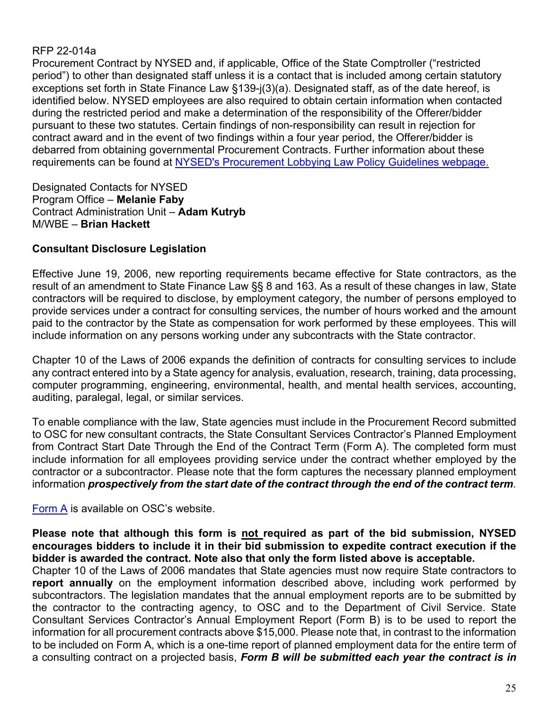Procurement Contract by NYSED and, if applicable, Office of the State Comptroller ("restricted period") to other than designated staff unless it is a contact that is included among certain statutory exceptions set forth in State Finance Law §139-j(3)(a). Designated staff, as of the date hereof, is identified below. NYSED employees are also required to obtain certain information when contacted during the restricted period and make a determination of the responsibility of the Offerer/bidder pursuant to these two statutes. Certain findings of non-responsibility can result in rejection for contract award and in the event of two findings within a four year period, the Offerer/bidder is debarred from obtaining governmental Procurement Contracts. Further information about these requirements can be found at [NYSED's Procurement Lobbying Law Policy Guidelines](http://www.oms.nysed.gov/fiscal/cau/PLL/procurementpolicy.htm) webpage.

Designated Contacts for NYSED Program Office – **Melanie Faby** Contract Administration Unit – **Adam Kutryb** M/WBE – **Brian Hackett**

## **Consultant Disclosure Legislation**

Effective June 19, 2006, new reporting requirements became effective for State contractors, as the result of an amendment to State Finance Law §§ 8 and 163. As a result of these changes in law, State contractors will be required to disclose, by employment category, the number of persons employed to provide services under a contract for consulting services, the number of hours worked and the amount paid to the contractor by the State as compensation for work performed by these employees. This will include information on any persons working under any subcontracts with the State contractor.

Chapter 10 of the Laws of 2006 expands the definition of contracts for consulting services to include any contract entered into by a State agency for analysis, evaluation, research, training, data processing, computer programming, engineering, environmental, health, and mental health services, accounting, auditing, paralegal, legal, or similar services.

To enable compliance with the law, State agencies must include in the Procurement Record submitted to OSC for new consultant contracts, the State Consultant Services Contractor's Planned Employment from Contract Start Date Through the End of the Contract Term (Form A). The completed form must include information for all employees providing service under the contract whether employed by the contractor or a subcontractor. Please note that the form captures the necessary planned employment information *prospectively from the start date of the contract through the end of the contract term.*

[Form A](https://www.osc.state.ny.us/agencies/forms/ac3271s.doc) is available on OSC's website.

**Please note that although this form is not required as part of the bid submission, NYSED encourages bidders to include it in their bid submission to expedite contract execution if the bidder is awarded the contract. Note also that only the form listed above is acceptable.**

Chapter 10 of the Laws of 2006 mandates that State agencies must now require State contractors to **report annually** on the employment information described above, including work performed by subcontractors. The legislation mandates that the annual employment reports are to be submitted by the contractor to the contracting agency, to OSC and to the Department of Civil Service. State Consultant Services Contractor's Annual Employment Report (Form B) is to be used to report the information for all procurement contracts above \$15,000. Please note that, in contrast to the information to be included on Form A, which is a one-time report of planned employment data for the entire term of a consulting contract on a projected basis, *Form B will be submitted each year the contract is in*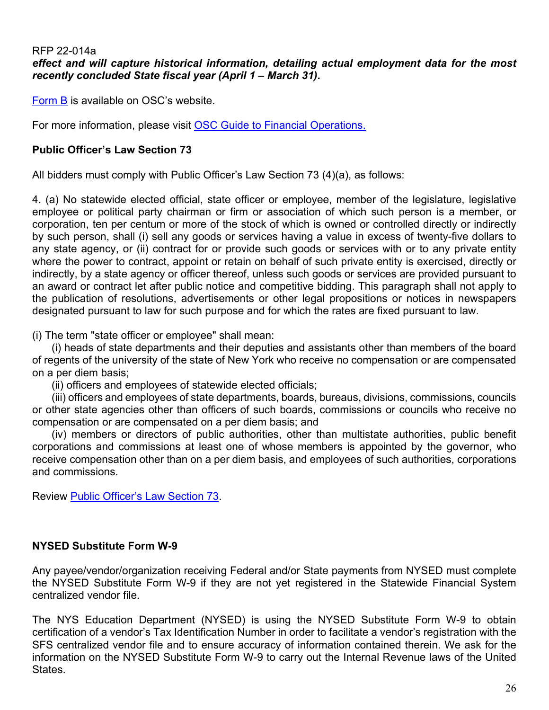#### RFP 22-014a *effect and will capture historical information, detailing actual employment data for the most recently concluded State fiscal year (April 1 – March 31)***.**

[Form B](https://www.osc.state.ny.us/agencies/forms/ac3272s.doc) is available on OSC's website.

For more information, please visit [OSC Guide to Financial Operations.](https://www.osc.state.ny.us/agencies/guide/MyWebHelp/)

#### **Public Officer's Law Section 73**

All bidders must comply with Public Officer's Law Section 73 (4)(a), as follows:

4. (a) No statewide elected official, state officer or employee, member of the legislature, legislative employee or political party chairman or firm or association of which such person is a member, or corporation, ten per centum or more of the stock of which is owned or controlled directly or indirectly by such person, shall (i) sell any goods or services having a value in excess of twenty-five dollars to any state agency, or (ii) contract for or provide such goods or services with or to any private entity where the power to contract, appoint or retain on behalf of such private entity is exercised, directly or indirectly, by a state agency or officer thereof, unless such goods or services are provided pursuant to an award or contract let after public notice and competitive bidding. This paragraph shall not apply to the publication of resolutions, advertisements or other legal propositions or notices in newspapers designated pursuant to law for such purpose and for which the rates are fixed pursuant to law.

(i) The term "state officer or employee" shall mean:

(i) heads of state departments and their deputies and assistants other than members of the board of regents of the university of the state of New York who receive no compensation or are compensated on a per diem basis;

(ii) officers and employees of statewide elected officials;

(iii) officers and employees of state departments, boards, bureaus, divisions, commissions, councils or other state agencies other than officers of such boards, commissions or councils who receive no compensation or are compensated on a per diem basis; and

(iv) members or directors of public authorities, other than multistate authorities, public benefit corporations and commissions at least one of whose members is appointed by the governor, who receive compensation other than on a per diem basis, and employees of such authorities, corporations and commissions.

Review [Public Officer's Law Section 73.](https://jcope.ny.gov/sites/g/files/oee746/files/documents/2017/09/public-officers-law-73.pdf)

#### **NYSED Substitute Form W-9**

Any payee/vendor/organization receiving Federal and/or State payments from NYSED must complete the NYSED Substitute Form W-9 if they are not yet registered in the Statewide Financial System centralized vendor file.

The NYS Education Department (NYSED) is using the NYSED Substitute Form W-9 to obtain certification of a vendor's Tax Identification Number in order to facilitate a vendor's registration with the SFS centralized vendor file and to ensure accuracy of information contained therein. We ask for the information on the NYSED Substitute Form W-9 to carry out the Internal Revenue laws of the United **States**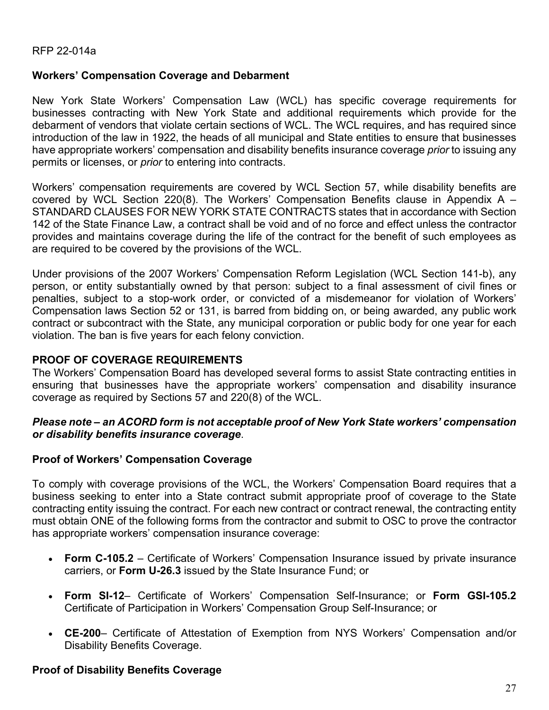#### **Workers' Compensation Coverage and Debarment**

New York State Workers' Compensation Law (WCL) has specific coverage requirements for businesses contracting with New York State and additional requirements which provide for the debarment of vendors that violate certain sections of WCL. The WCL requires, and has required since introduction of the law in 1922, the heads of all municipal and State entities to ensure that businesses have appropriate workers' compensation and disability benefits insurance coverage *prior* to issuing any permits or licenses, or *prior* to entering into contracts.

Workers' compensation requirements are covered by WCL Section 57, while disability benefits are covered by WCL Section 220(8). The Workers' Compensation Benefits clause in Appendix A  $-$ STANDARD CLAUSES FOR NEW YORK STATE CONTRACTS states that in accordance with Section 142 of the State Finance Law, a contract shall be void and of no force and effect unless the contractor provides and maintains coverage during the life of the contract for the benefit of such employees as are required to be covered by the provisions of the WCL.

Under provisions of the 2007 Workers' Compensation Reform Legislation (WCL Section 141-b), any person, or entity substantially owned by that person: subject to a final assessment of civil fines or penalties, subject to a stop-work order, or convicted of a misdemeanor for violation of Workers' Compensation laws Section 52 or 131, is barred from bidding on, or being awarded, any public work contract or subcontract with the State, any municipal corporation or public body for one year for each violation. The ban is five years for each felony conviction.

#### **PROOF OF COVERAGE REQUIREMENTS**

The Workers' Compensation Board has developed several forms to assist State contracting entities in ensuring that businesses have the appropriate workers' compensation and disability insurance coverage as required by Sections 57 and 220(8) of the WCL.

#### *Please note – an ACORD form is not acceptable proof of New York State workers' compensation or disability benefits insurance coverage*.

#### **Proof of Workers' Compensation Coverage**

To comply with coverage provisions of the WCL, the Workers' Compensation Board requires that a business seeking to enter into a State contract submit appropriate proof of coverage to the State contracting entity issuing the contract. For each new contract or contract renewal, the contracting entity must obtain ONE of the following forms from the contractor and submit to OSC to prove the contractor has appropriate workers' compensation insurance coverage:

- **Form C-105.2** Certificate of Workers' Compensation Insurance issued by private insurance carriers, or **Form U-26.3** issued by the State Insurance Fund; or
- **Form SI-12** Certificate of Workers' Compensation Self-Insurance; or **Form GSI-105.2** Certificate of Participation in Workers' Compensation Group Self-Insurance; or
- **CE-200** Certificate of Attestation of Exemption from NYS Workers' Compensation and/or Disability Benefits Coverage.

#### **Proof of Disability Benefits Coverage**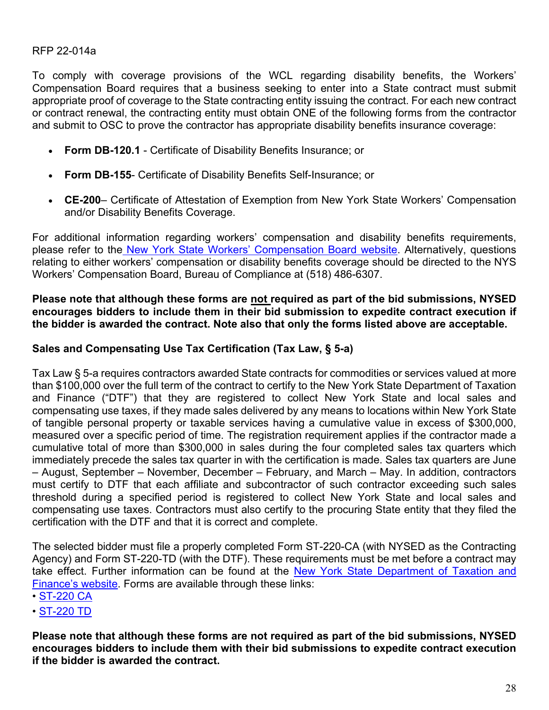To comply with coverage provisions of the WCL regarding disability benefits, the Workers' Compensation Board requires that a business seeking to enter into a State contract must submit appropriate proof of coverage to the State contracting entity issuing the contract. For each new contract or contract renewal, the contracting entity must obtain ONE of the following forms from the contractor and submit to OSC to prove the contractor has appropriate disability benefits insurance coverage:

- **Form DB-120.1** Certificate of Disability Benefits Insurance; or
- **Form DB-155** Certificate of Disability Benefits Self-Insurance; or
- **CE-200** Certificate of Attestation of Exemption from New York State Workers' Compensation and/or Disability Benefits Coverage.

For additional information regarding workers' compensation and disability benefits requirements, please refer to the [New York State Workers' Compensation Board website.](http://www.wcb.ny.gov/content/main/Employers/lp_permits-licenses-contracts.jsp) Alternatively, questions relating to either workers' compensation or disability benefits coverage should be directed to the NYS Workers' Compensation Board, Bureau of Compliance at (518) 486-6307.

#### **Please note that although these forms are not required as part of the bid submissions, NYSED encourages bidders to include them in their bid submission to expedite contract execution if the bidder is awarded the contract. Note also that only the forms listed above are acceptable.**

#### **Sales and Compensating Use Tax Certification (Tax Law, § 5-a)**

Tax Law § 5-a requires contractors awarded State contracts for commodities or services valued at more than \$100,000 over the full term of the contract to certify to the New York State Department of Taxation and Finance ("DTF") that they are registered to collect New York State and local sales and compensating use taxes, if they made sales delivered by any means to locations within New York State of tangible personal property or taxable services having a cumulative value in excess of \$300,000, measured over a specific period of time. The registration requirement applies if the contractor made a cumulative total of more than \$300,000 in sales during the four completed sales tax quarters which immediately precede the sales tax quarter in with the certification is made. Sales tax quarters are June – August, September – November, December – February, and March – May. In addition, contractors must certify to DTF that each affiliate and subcontractor of such contractor exceeding such sales threshold during a specified period is registered to collect New York State and local sales and compensating use taxes. Contractors must also certify to the procuring State entity that they filed the certification with the DTF and that it is correct and complete.

The selected bidder must file a properly completed Form ST-220-CA (with NYSED as the Contracting Agency) and Form ST-220-TD (with the DTF). These requirements must be met before a contract may take effect. Further information can be found at the [New York State Department of Taxation and](https://www.tax.ny.gov/pdf/publications/sales/pub223.pdf)  [Finance's w](https://www.tax.ny.gov/pdf/publications/sales/pub223.pdf)ebsite. Forms are available through these links:

- • [ST-220 CA](https://www.tax.ny.gov/pdf/current_forms/st/st220ca_fill_in.pdf)
- • [ST-220 TD](https://www.tax.ny.gov/pdf/current_forms/st/st220td_fill_in.pdf)

**Please note that although these forms are not required as part of the bid submissions, NYSED encourages bidders to include them with their bid submissions to expedite contract execution if the bidder is awarded the contract.**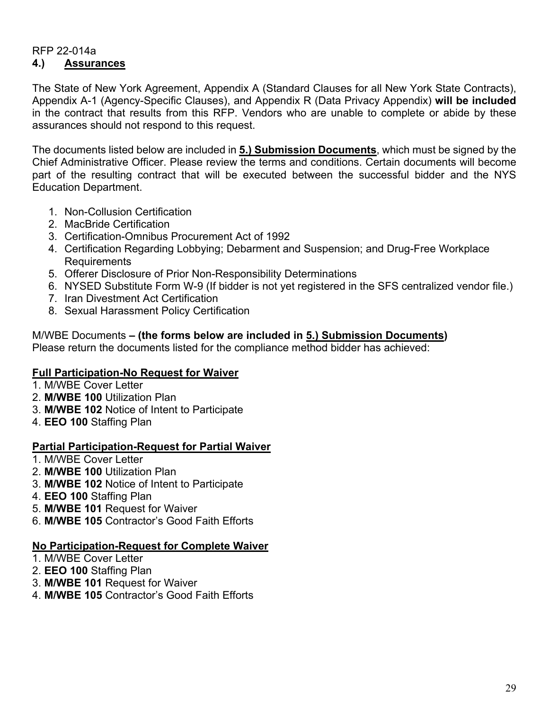#### RFP 22-014a **4.) Assurances**

The State of New York Agreement, Appendix A (Standard Clauses for all New York State Contracts), Appendix A-1 (Agency-Specific Clauses), and Appendix R (Data Privacy Appendix) **will be included** in the contract that results from this RFP. Vendors who are unable to complete or abide by these assurances should not respond to this request.

The documents listed below are included in **5.) Submission Documents**, which must be signed by the Chief Administrative Officer. Please review the terms and conditions. Certain documents will become part of the resulting contract that will be executed between the successful bidder and the NYS Education Department.

- 1. Non-Collusion Certification
- 2. MacBride Certification
- 3. Certification-Omnibus Procurement Act of 1992
- 4. Certification Regarding Lobbying; Debarment and Suspension; and Drug-Free Workplace Requirements
- 5. Offerer Disclosure of Prior Non-Responsibility Determinations
- 6. NYSED Substitute Form W-9 (If bidder is not yet registered in the SFS centralized vendor file.)
- 7. Iran Divestment Act Certification
- 8. Sexual Harassment Policy Certification

# M/WBE Documents **– (the forms below are included in 5.) Submission Documents)**

Please return the documents listed for the compliance method bidder has achieved:

## **Full Participation-No Request for Waiver**

- 1. M/WBE Cover Letter
- 2. **M/WBE 100** Utilization Plan
- 3. **M/WBE 102** Notice of Intent to Participate
- 4. **EEO 100** Staffing Plan

## **Partial Participation-Request for Partial Waiver**

- 1. M/WBE Cover Letter
- 2. **M/WBE 100** Utilization Plan
- 3. **M/WBE 102** Notice of Intent to Participate
- 4. **EEO 100** Staffing Plan
- 5. **M/WBE 101** Request for Waiver
- 6. **M/WBE 105** Contractor's Good Faith Efforts

#### **No Participation-Request for Complete Waiver**

- 1. M/WBE Cover Letter
- 2. **EEO 100** Staffing Plan
- 3. **M/WBE 101** Request for Waiver
- 4. **M/WBE 105** Contractor's Good Faith Efforts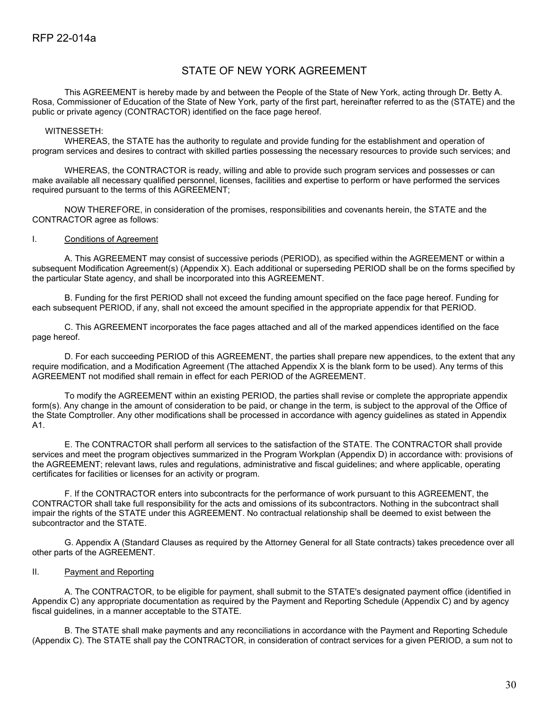#### STATE OF NEW YORK AGREEMENT

This AGREEMENT is hereby made by and between the People of the State of New York, acting through Dr. Betty A. Rosa, Commissioner of Education of the State of New York, party of the first part, hereinafter referred to as the (STATE) and the public or private agency (CONTRACTOR) identified on the face page hereof.

#### WITNESSETH:

WHEREAS, the STATE has the authority to regulate and provide funding for the establishment and operation of program services and desires to contract with skilled parties possessing the necessary resources to provide such services; and

WHEREAS, the CONTRACTOR is ready, willing and able to provide such program services and possesses or can make available all necessary qualified personnel, licenses, facilities and expertise to perform or have performed the services required pursuant to the terms of this AGREEMENT;

NOW THEREFORE, in consideration of the promises, responsibilities and covenants herein, the STATE and the CONTRACTOR agree as follows:

#### I. Conditions of Agreement

A. This AGREEMENT may consist of successive periods (PERIOD), as specified within the AGREEMENT or within a subsequent Modification Agreement(s) (Appendix X). Each additional or superseding PERIOD shall be on the forms specified by the particular State agency, and shall be incorporated into this AGREEMENT.

B. Funding for the first PERIOD shall not exceed the funding amount specified on the face page hereof. Funding for each subsequent PERIOD, if any, shall not exceed the amount specified in the appropriate appendix for that PERIOD.

C. This AGREEMENT incorporates the face pages attached and all of the marked appendices identified on the face page hereof.

D. For each succeeding PERIOD of this AGREEMENT, the parties shall prepare new appendices, to the extent that any require modification, and a Modification Agreement (The attached Appendix X is the blank form to be used). Any terms of this AGREEMENT not modified shall remain in effect for each PERIOD of the AGREEMENT.

To modify the AGREEMENT within an existing PERIOD, the parties shall revise or complete the appropriate appendix form(s). Any change in the amount of consideration to be paid, or change in the term, is subject to the approval of the Office of the State Comptroller. Any other modifications shall be processed in accordance with agency guidelines as stated in Appendix A1.

E. The CONTRACTOR shall perform all services to the satisfaction of the STATE. The CONTRACTOR shall provide services and meet the program objectives summarized in the Program Workplan (Appendix D) in accordance with: provisions of the AGREEMENT; relevant laws, rules and regulations, administrative and fiscal guidelines; and where applicable, operating certificates for facilities or licenses for an activity or program.

F. If the CONTRACTOR enters into subcontracts for the performance of work pursuant to this AGREEMENT, the CONTRACTOR shall take full responsibility for the acts and omissions of its subcontractors. Nothing in the subcontract shall impair the rights of the STATE under this AGREEMENT. No contractual relationship shall be deemed to exist between the subcontractor and the STATE.

G. Appendix A (Standard Clauses as required by the Attorney General for all State contracts) takes precedence over all other parts of the AGREEMENT.

#### II. Payment and Reporting

A. The CONTRACTOR, to be eligible for payment, shall submit to the STATE's designated payment office (identified in Appendix C) any appropriate documentation as required by the Payment and Reporting Schedule (Appendix C) and by agency fiscal guidelines, in a manner acceptable to the STATE.

B. The STATE shall make payments and any reconciliations in accordance with the Payment and Reporting Schedule (Appendix C). The STATE shall pay the CONTRACTOR, in consideration of contract services for a given PERIOD, a sum not to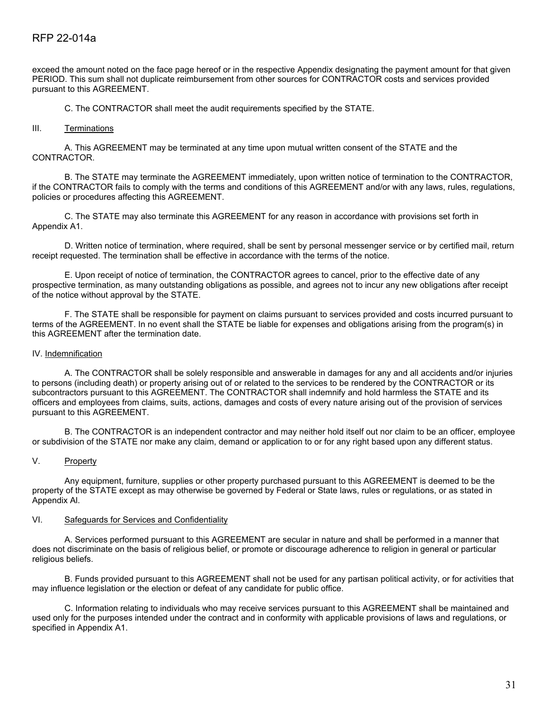exceed the amount noted on the face page hereof or in the respective Appendix designating the payment amount for that given PERIOD. This sum shall not duplicate reimbursement from other sources for CONTRACTOR costs and services provided pursuant to this AGREEMENT.

C. The CONTRACTOR shall meet the audit requirements specified by the STATE.

#### III. Terminations

A. This AGREEMENT may be terminated at any time upon mutual written consent of the STATE and the CONTRACTOR.

B. The STATE may terminate the AGREEMENT immediately, upon written notice of termination to the CONTRACTOR, if the CONTRACTOR fails to comply with the terms and conditions of this AGREEMENT and/or with any laws, rules, regulations, policies or procedures affecting this AGREEMENT.

C. The STATE may also terminate this AGREEMENT for any reason in accordance with provisions set forth in Appendix A1.

D. Written notice of termination, where required, shall be sent by personal messenger service or by certified mail, return receipt requested. The termination shall be effective in accordance with the terms of the notice.

E. Upon receipt of notice of termination, the CONTRACTOR agrees to cancel, prior to the effective date of any prospective termination, as many outstanding obligations as possible, and agrees not to incur any new obligations after receipt of the notice without approval by the STATE.

F. The STATE shall be responsible for payment on claims pursuant to services provided and costs incurred pursuant to terms of the AGREEMENT. In no event shall the STATE be liable for expenses and obligations arising from the program(s) in this AGREEMENT after the termination date.

#### IV. Indemnification

A. The CONTRACTOR shall be solely responsible and answerable in damages for any and all accidents and/or injuries to persons (including death) or property arising out of or related to the services to be rendered by the CONTRACTOR or its subcontractors pursuant to this AGREEMENT. The CONTRACTOR shall indemnify and hold harmless the STATE and its officers and employees from claims, suits, actions, damages and costs of every nature arising out of the provision of services pursuant to this AGREEMENT.

B. The CONTRACTOR is an independent contractor and may neither hold itself out nor claim to be an officer, employee or subdivision of the STATE nor make any claim, demand or application to or for any right based upon any different status.

#### V. Property

Any equipment, furniture, supplies or other property purchased pursuant to this AGREEMENT is deemed to be the property of the STATE except as may otherwise be governed by Federal or State laws, rules or regulations, or as stated in Appendix Al.

#### VI. Safeguards for Services and Confidentiality

A. Services performed pursuant to this AGREEMENT are secular in nature and shall be performed in a manner that does not discriminate on the basis of religious belief, or promote or discourage adherence to religion in general or particular religious beliefs.

B. Funds provided pursuant to this AGREEMENT shall not be used for any partisan political activity, or for activities that may influence legislation or the election or defeat of any candidate for public office.

C. Information relating to individuals who may receive services pursuant to this AGREEMENT shall be maintained and used only for the purposes intended under the contract and in conformity with applicable provisions of laws and regulations, or specified in Appendix A1.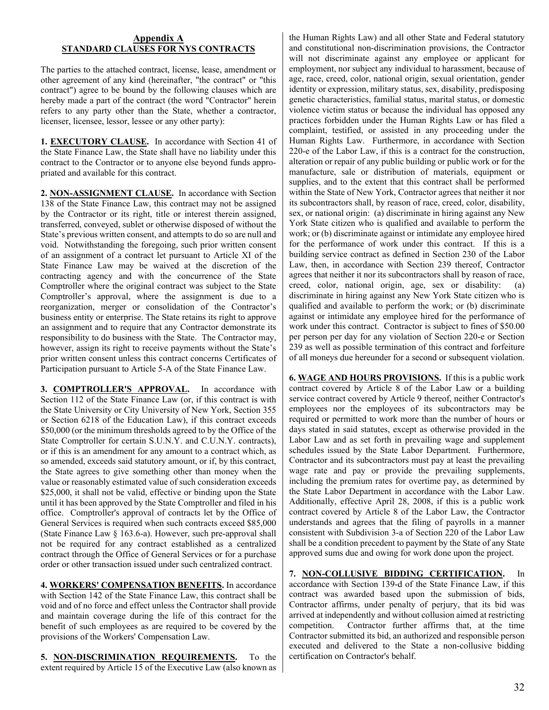#### **Appendix A STANDARD CLAUSES FOR NYS CONTRACTS**

The parties to the attached contract, license, lease, amendment or other agreement of any kind (hereinafter, "the contract" or "this contract") agree to be bound by the following clauses which are hereby made a part of the contract (the word "Contractor" herein refers to any party other than the State, whether a contractor, licenser, licensee, lessor, lessee or any other party):

**1. EXECUTORY CLAUSE.** In accordance with Section 41 of the State Finance Law, the State shall have no liability under this contract to the Contractor or to anyone else beyond funds appropriated and available for this contract.

**2. NON-ASSIGNMENT CLAUSE.** In accordance with Section 138 of the State Finance Law, this contract may not be assigned by the Contractor or its right, title or interest therein assigned, transferred, conveyed, sublet or otherwise disposed of without the State's previous written consent, and attempts to do so are null and void. Notwithstanding the foregoing, such prior written consent of an assignment of a contract let pursuant to Article XI of the State Finance Law may be waived at the discretion of the contracting agency and with the concurrence of the State Comptroller where the original contract was subject to the State Comptroller's approval, where the assignment is due to a reorganization, merger or consolidation of the Contractor's business entity or enterprise. The State retains its right to approve an assignment and to require that any Contractor demonstrate its responsibility to do business with the State. The Contractor may, however, assign its right to receive payments without the State's prior written consent unless this contract concerns Certificates of Participation pursuant to Article 5-A of the State Finance Law.

**3. COMPTROLLER'S APPROVAL.** In accordance with Section 112 of the State Finance Law (or, if this contract is with the State University or City University of New York, Section 355 or Section 6218 of the Education Law), if this contract exceeds \$50,000 (or the minimum thresholds agreed to by the Office of the State Comptroller for certain S.U.N.Y. and C.U.N.Y. contracts), or if this is an amendment for any amount to a contract which, as so amended, exceeds said statutory amount, or if, by this contract, the State agrees to give something other than money when the value or reasonably estimated value of such consideration exceeds \$25,000, it shall not be valid, effective or binding upon the State until it has been approved by the State Comptroller and filed in his office. Comptroller's approval of contracts let by the Office of General Services is required when such contracts exceed \$85,000 (State Finance Law § 163.6-a). However, such pre-approval shall not be required for any contract established as a centralized contract through the Office of General Services or for a purchase order or other transaction issued under such centralized contract.

**4. WORKERS' COMPENSATION BENEFITS.** In accordance with Section 142 of the State Finance Law, this contract shall be void and of no force and effect unless the Contractor shall provide and maintain coverage during the life of this contract for the benefit of such employees as are required to be covered by the provisions of the Workers' Compensation Law.

**5. NON-DISCRIMINATION REQUIREMENTS.** To the extent required by Article 15 of the Executive Law (also known as

the Human Rights Law) and all other State and Federal statutory and constitutional non-discrimination provisions, the Contractor will not discriminate against any employee or applicant for employment, nor subject any individual to harassment, because of age, race, creed, color, national origin, sexual orientation, gender identity or expression, military status, sex, disability, predisposing genetic characteristics, familial status, marital status, or domestic violence victim status or because the individual has opposed any practices forbidden under the Human Rights Law or has filed a complaint, testified, or assisted in any proceeding under the Human Rights Law. Furthermore, in accordance with Section 220-e of the Labor Law, if this is a contract for the construction, alteration or repair of any public building or public work or for the manufacture, sale or distribution of materials, equipment or supplies, and to the extent that this contract shall be performed within the State of New York, Contractor agrees that neither it nor its subcontractors shall, by reason of race, creed, color, disability, sex, or national origin: (a) discriminate in hiring against any New York State citizen who is qualified and available to perform the work; or (b) discriminate against or intimidate any employee hired for the performance of work under this contract. If this is a building service contract as defined in Section 230 of the Labor Law, then, in accordance with Section 239 thereof, Contractor agrees that neither it nor its subcontractors shall by reason of race, creed, color, national origin, age, sex or disability: (a) discriminate in hiring against any New York State citizen who is qualified and available to perform the work; or (b) discriminate against or intimidate any employee hired for the performance of work under this contract. Contractor is subject to fines of \$50.00 per person per day for any violation of Section 220-e or Section 239 as well as possible termination of this contract and forfeiture of all moneys due hereunder for a second or subsequent violation.

**6. WAGE AND HOURS PROVISIONS.** If this is a public work contract covered by Article 8 of the Labor Law or a building service contract covered by Article 9 thereof, neither Contractor's employees nor the employees of its subcontractors may be required or permitted to work more than the number of hours or days stated in said statutes, except as otherwise provided in the Labor Law and as set forth in prevailing wage and supplement schedules issued by the State Labor Department. Furthermore, Contractor and its subcontractors must pay at least the prevailing wage rate and pay or provide the prevailing supplements, including the premium rates for overtime pay, as determined by the State Labor Department in accordance with the Labor Law. Additionally, effective April 28, 2008, if this is a public work contract covered by Article 8 of the Labor Law, the Contractor understands and agrees that the filing of payrolls in a manner consistent with Subdivision 3-a of Section 220 of the Labor Law shall be a condition precedent to payment by the State of any State approved sums due and owing for work done upon the project.

**7. NON-COLLUSIVE BIDDING CERTIFICATION.** In accordance with Section 139-d of the State Finance Law, if this contract was awarded based upon the submission of bids, Contractor affirms, under penalty of perjury, that its bid was arrived at independently and without collusion aimed at restricting competition. Contractor further affirms that, at the time Contractor submitted its bid, an authorized and responsible person executed and delivered to the State a non-collusive bidding certification on Contractor's behalf.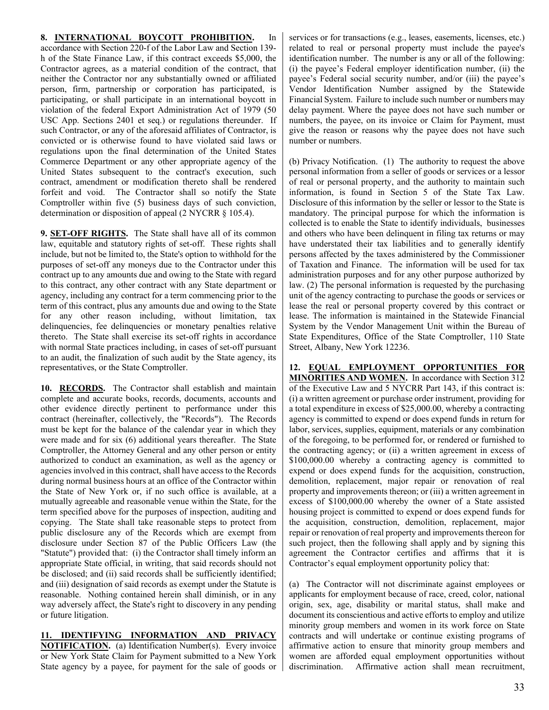#### **8. INTERNATIONAL BOYCOTT PROHIBITION.** In

accordance with Section 220-f of the Labor Law and Section 139 h of the State Finance Law, if this contract exceeds \$5,000, the Contractor agrees, as a material condition of the contract, that neither the Contractor nor any substantially owned or affiliated person, firm, partnership or corporation has participated, is participating, or shall participate in an international boycott in violation of the federal Export Administration Act of 1979 (50 USC App. Sections 2401 et seq.) or regulations thereunder. If such Contractor, or any of the aforesaid affiliates of Contractor, is convicted or is otherwise found to have violated said laws or regulations upon the final determination of the United States Commerce Department or any other appropriate agency of the United States subsequent to the contract's execution, such contract, amendment or modification thereto shall be rendered forfeit and void. The Contractor shall so notify the State Comptroller within five (5) business days of such conviction, determination or disposition of appeal (2 NYCRR § 105.4).

**9. SET-OFF RIGHTS.** The State shall have all of its common law, equitable and statutory rights of set-off. These rights shall include, but not be limited to, the State's option to withhold for the purposes of set-off any moneys due to the Contractor under this contract up to any amounts due and owing to the State with regard to this contract, any other contract with any State department or agency, including any contract for a term commencing prior to the term of this contract, plus any amounts due and owing to the State for any other reason including, without limitation, tax delinquencies, fee delinquencies or monetary penalties relative thereto. The State shall exercise its set-off rights in accordance with normal State practices including, in cases of set-off pursuant to an audit, the finalization of such audit by the State agency, its representatives, or the State Comptroller.

**10. RECORDS.** The Contractor shall establish and maintain complete and accurate books, records, documents, accounts and other evidence directly pertinent to performance under this contract (hereinafter, collectively, the "Records"). The Records must be kept for the balance of the calendar year in which they were made and for six (6) additional years thereafter. The State Comptroller, the Attorney General and any other person or entity authorized to conduct an examination, as well as the agency or agencies involved in this contract, shall have access to the Records during normal business hours at an office of the Contractor within the State of New York or, if no such office is available, at a mutually agreeable and reasonable venue within the State, for the term specified above for the purposes of inspection, auditing and copying. The State shall take reasonable steps to protect from public disclosure any of the Records which are exempt from disclosure under Section 87 of the Public Officers Law (the "Statute") provided that: (i) the Contractor shall timely inform an appropriate State official, in writing, that said records should not be disclosed; and (ii) said records shall be sufficiently identified; and (iii) designation of said records as exempt under the Statute is reasonable. Nothing contained herein shall diminish, or in any way adversely affect, the State's right to discovery in any pending or future litigation.

**11. IDENTIFYING INFORMATION AND PRIVACY NOTIFICATION.** (a) Identification Number(s). Every invoice or New York State Claim for Payment submitted to a New York State agency by a payee, for payment for the sale of goods or

services or for transactions (e.g., leases, easements, licenses, etc.) related to real or personal property must include the payee's identification number. The number is any or all of the following: (i) the payee's Federal employer identification number, (ii) the payee's Federal social security number, and/or (iii) the payee's Vendor Identification Number assigned by the Statewide Financial System. Failure to include such number or numbers may delay payment. Where the payee does not have such number or numbers, the payee, on its invoice or Claim for Payment, must give the reason or reasons why the payee does not have such number or numbers.

(b) Privacy Notification. (1) The authority to request the above personal information from a seller of goods or services or a lessor of real or personal property, and the authority to maintain such information, is found in Section 5 of the State Tax Law. Disclosure of this information by the seller or lessor to the State is mandatory. The principal purpose for which the information is collected is to enable the State to identify individuals, businesses and others who have been delinquent in filing tax returns or may have understated their tax liabilities and to generally identify persons affected by the taxes administered by the Commissioner of Taxation and Finance. The information will be used for tax administration purposes and for any other purpose authorized by law. (2) The personal information is requested by the purchasing unit of the agency contracting to purchase the goods or services or lease the real or personal property covered by this contract or lease. The information is maintained in the Statewide Financial System by the Vendor Management Unit within the Bureau of State Expenditures, Office of the State Comptroller, 110 State Street, Albany, New York 12236.

**12. EQUAL EMPLOYMENT OPPORTUNITIES FOR MINORITIES AND WOMEN.** In accordance with Section 312 of the Executive Law and 5 NYCRR Part 143, if this contract is: (i) a written agreement or purchase order instrument, providing for a total expenditure in excess of \$25,000.00, whereby a contracting agency is committed to expend or does expend funds in return for labor, services, supplies, equipment, materials or any combination of the foregoing, to be performed for, or rendered or furnished to the contracting agency; or (ii) a written agreement in excess of \$100,000.00 whereby a contracting agency is committed to expend or does expend funds for the acquisition, construction, demolition, replacement, major repair or renovation of real property and improvements thereon; or (iii) a written agreement in excess of \$100,000.00 whereby the owner of a State assisted housing project is committed to expend or does expend funds for the acquisition, construction, demolition, replacement, major repair or renovation of real property and improvements thereon for such project, then the following shall apply and by signing this agreement the Contractor certifies and affirms that it is Contractor's equal employment opportunity policy that:

(a) The Contractor will not discriminate against employees or applicants for employment because of race, creed, color, national origin, sex, age, disability or marital status, shall make and document its conscientious and active efforts to employ and utilize minority group members and women in its work force on State contracts and will undertake or continue existing programs of affirmative action to ensure that minority group members and women are afforded equal employment opportunities without discrimination. Affirmative action shall mean recruitment,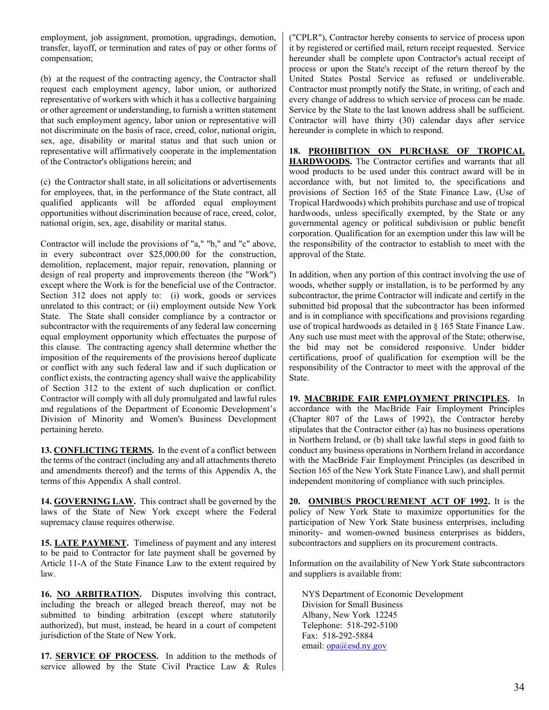employment, job assignment, promotion, upgradings, demotion, transfer, layoff, or termination and rates of pay or other forms of compensation;

(b) at the request of the contracting agency, the Contractor shall request each employment agency, labor union, or authorized representative of workers with which it has a collective bargaining or other agreement or understanding, to furnish a written statement that such employment agency, labor union or representative will not discriminate on the basis of race, creed, color, national origin, sex, age, disability or marital status and that such union or representative will affirmatively cooperate in the implementation of the Contractor's obligations herein; and

(c) the Contractor shall state, in all solicitations or advertisements for employees, that, in the performance of the State contract, all qualified applicants will be afforded equal employment opportunities without discrimination because of race, creed, color, national origin, sex, age, disability or marital status.

Contractor will include the provisions of "a," "b," and "c" above, in every subcontract over \$25,000.00 for the construction, demolition, replacement, major repair, renovation, planning or design of real property and improvements thereon (the "Work") except where the Work is for the beneficial use of the Contractor. Section 312 does not apply to: (i) work, goods or services unrelated to this contract; or (ii) employment outside New York State. The State shall consider compliance by a contractor or subcontractor with the requirements of any federal law concerning equal employment opportunity which effectuates the purpose of this clause. The contracting agency shall determine whether the imposition of the requirements of the provisions hereof duplicate or conflict with any such federal law and if such duplication or conflict exists, the contracting agency shall waive the applicability of Section 312 to the extent of such duplication or conflict. Contractor will comply with all duly promulgated and lawful rules and regulations of the Department of Economic Development's Division of Minority and Women's Business Development pertaining hereto.

**13. CONFLICTING TERMS.** In the event of a conflict between the terms of the contract (including any and all attachments thereto and amendments thereof) and the terms of this Appendix A, the terms of this Appendix A shall control.

**14. GOVERNING LAW.** This contract shall be governed by the laws of the State of New York except where the Federal supremacy clause requires otherwise.

**15. LATE PAYMENT.** Timeliness of payment and any interest to be paid to Contractor for late payment shall be governed by Article 11-A of the State Finance Law to the extent required by law.

**16. NO ARBITRATION.** Disputes involving this contract, including the breach or alleged breach thereof, may not be submitted to binding arbitration (except where statutorily authorized), but must, instead, be heard in a court of competent jurisdiction of the State of New York.

17. **SERVICE OF PROCESS.** In addition to the methods of service allowed by the State Civil Practice Law & Rules ("CPLR"), Contractor hereby consents to service of process upon it by registered or certified mail, return receipt requested. Service hereunder shall be complete upon Contractor's actual receipt of process or upon the State's receipt of the return thereof by the United States Postal Service as refused or undeliverable. Contractor must promptly notify the State, in writing, of each and every change of address to which service of process can be made. Service by the State to the last known address shall be sufficient. Contractor will have thirty (30) calendar days after service hereunder is complete in which to respond.

**18. PROHIBITION ON PURCHASE OF TROPICAL HARDWOODS.** The Contractor certifies and warrants that all wood products to be used under this contract award will be in accordance with, but not limited to, the specifications and provisions of Section 165 of the State Finance Law, (Use of Tropical Hardwoods) which prohibits purchase and use of tropical hardwoods, unless specifically exempted, by the State or any governmental agency or political subdivision or public benefit corporation. Qualification for an exemption under this law will be the responsibility of the contractor to establish to meet with the approval of the State.

In addition, when any portion of this contract involving the use of woods, whether supply or installation, is to be performed by any subcontractor, the prime Contractor will indicate and certify in the submitted bid proposal that the subcontractor has been informed and is in compliance with specifications and provisions regarding use of tropical hardwoods as detailed in § 165 State Finance Law. Any such use must meet with the approval of the State; otherwise, the bid may not be considered responsive. Under bidder certifications, proof of qualification for exemption will be the responsibility of the Contractor to meet with the approval of the State.

**19. MACBRIDE FAIR EMPLOYMENT PRINCIPLES.** In accordance with the MacBride Fair Employment Principles (Chapter 807 of the Laws of 1992), the Contractor hereby stipulates that the Contractor either (a) has no business operations in Northern Ireland, or (b) shall take lawful steps in good faith to conduct any business operations in Northern Ireland in accordance with the MacBride Fair Employment Principles (as described in Section 165 of the New York State Finance Law), and shall permit independent monitoring of compliance with such principles.

**20. OMNIBUS PROCUREMENT ACT OF 1992.** It is the policy of New York State to maximize opportunities for the participation of New York State business enterprises, including minority- and women-owned business enterprises as bidders, subcontractors and suppliers on its procurement contracts.

Information on the availability of New York State subcontractors and suppliers is available from:

NYS Department of Economic Development Division for Small Business Albany, New York 12245 Telephone: 518-292-5100 Fax: 518-292-5884 email: [opa@esd.ny.gov](mailto:opa@esd.ny.gov)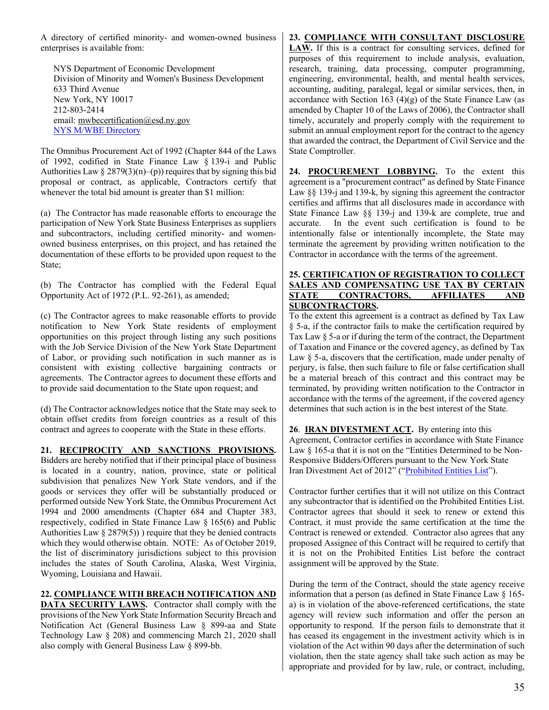A directory of certified minority- and women-owned business enterprises is available from:

NYS Department of Economic Development Division of Minority and Women's Business Development 633 Third Avenue New York, NY 10017 212-803-2414 email: [mwbecertification@esd.ny.gov](mailto:mwbecertification@esd.ny.gov) [NYS M/WBE Directory](https://ny.newnycontracts.com/FrontEnd/VendorSearchPublic.asp)

The Omnibus Procurement Act of 1992 (Chapter 844 of the Laws of 1992, codified in State Finance Law § 139-i and Public Authorities Law  $\S 2879(3)(n)$ –(p)) requires that by signing this bid proposal or contract, as applicable, Contractors certify that whenever the total bid amount is greater than \$1 million:

(a) The Contractor has made reasonable efforts to encourage the participation of New York State Business Enterprises as suppliers and subcontractors, including certified minority- and womenowned business enterprises, on this project, and has retained the documentation of these efforts to be provided upon request to the State;

(b) The Contractor has complied with the Federal Equal Opportunity Act of 1972 (P.L. 92-261), as amended;

(c) The Contractor agrees to make reasonable efforts to provide notification to New York State residents of employment opportunities on this project through listing any such positions with the Job Service Division of the New York State Department of Labor, or providing such notification in such manner as is consistent with existing collective bargaining contracts or agreements. The Contractor agrees to document these efforts and to provide said documentation to the State upon request; and

(d) The Contractor acknowledges notice that the State may seek to obtain offset credits from foreign countries as a result of this contract and agrees to cooperate with the State in these efforts.

#### **21. RECIPROCITY AND SANCTIONS PROVISIONS.**

Bidders are hereby notified that if their principal place of business is located in a country, nation, province, state or political subdivision that penalizes New York State vendors, and if the goods or services they offer will be substantially produced or performed outside New York State, the Omnibus Procurement Act 1994 and 2000 amendments (Chapter 684 and Chapter 383, respectively, codified in State Finance Law § 165(6) and Public Authorities Law  $\S 2879(5)$ ) require that they be denied contracts which they would otherwise obtain. NOTE: As of October 2019, the list of discriminatory jurisdictions subject to this provision includes the states of South Carolina, Alaska, West Virginia, Wyoming, Louisiana and Hawaii.

#### **22. COMPLIANCE WITH BREACH NOTIFICATION AND**

**DATA SECURITY LAWS.** Contractor shall comply with the provisions of the New York State Information Security Breach and Notification Act (General Business Law § 899-aa and State Technology Law § 208) and commencing March 21, 2020 shall also comply with General Business Law § 899-bb.

#### **23. COMPLIANCE WITH CONSULTANT DISCLOSURE**

**LAW.** If this is a contract for consulting services, defined for purposes of this requirement to include analysis, evaluation, research, training, data processing, computer programming, engineering, environmental, health, and mental health services, accounting, auditing, paralegal, legal or similar services, then, in accordance with Section 163  $(4)(g)$  of the State Finance Law (as amended by Chapter 10 of the Laws of 2006), the Contractor shall timely, accurately and properly comply with the requirement to submit an annual employment report for the contract to the agency that awarded the contract, the Department of Civil Service and the State Comptroller.

**24. PROCUREMENT LOBBYING.** To the extent this agreement is a "procurement contract" as defined by State Finance Law §§ 139-j and 139-k, by signing this agreement the contractor certifies and affirms that all disclosures made in accordance with State Finance Law §§ 139-j and 139-k are complete, true and accurate. In the event such certification is found to be intentionally false or intentionally incomplete, the State may terminate the agreement by providing written notification to the Contractor in accordance with the terms of the agreement.

#### **25. CERTIFICATION OF REGISTRATION TO COLLECT SALES AND COMPENSATING USE TAX BY CERTAIN STATE CONTRACTORS, AFFILIATES AND SUBCONTRACTORS.**

To the extent this agreement is a contract as defined by Tax Law § 5-a, if the contractor fails to make the certification required by Tax Law § 5-a or if during the term of the contract, the Department of Taxation and Finance or the covered agency, as defined by Tax Law  $\delta$  5-a, discovers that the certification, made under penalty of perjury, is false, then such failure to file or false certification shall be a material breach of this contract and this contract may be terminated, by providing written notification to the Contractor in accordance with the terms of the agreement, if the covered agency determines that such action is in the best interest of the State.

**26**. **IRAN DIVESTMENT ACT.** By entering into this Agreement, Contractor certifies in accordance with State Finance Law § 165-a that it is not on the "Entities Determined to be Non-Responsive Bidders/Offerers pursuant to the New York State Iran Divestment Act of 2012" (["Prohibited Entities List"](https://ogs.ny.gov/list-entities-determined-be-non-responsive-biddersofferers-pursuant-nys-iran-divestment-act-2012)).

Contractor further certifies that it will not utilize on this Contract any subcontractor that is identified on the Prohibited Entities List. Contractor agrees that should it seek to renew or extend this Contract, it must provide the same certification at the time the Contract is renewed or extended. Contractor also agrees that any proposed Assignee of this Contract will be required to certify that it is not on the Prohibited Entities List before the contract assignment will be approved by the State.

During the term of the Contract, should the state agency receive information that a person (as defined in State Finance Law § 165 a) is in violation of the above-referenced certifications, the state agency will review such information and offer the person an opportunity to respond. If the person fails to demonstrate that it has ceased its engagement in the investment activity which is in violation of the Act within 90 days after the determination of such violation, then the state agency shall take such action as may be appropriate and provided for by law, rule, or contract, including,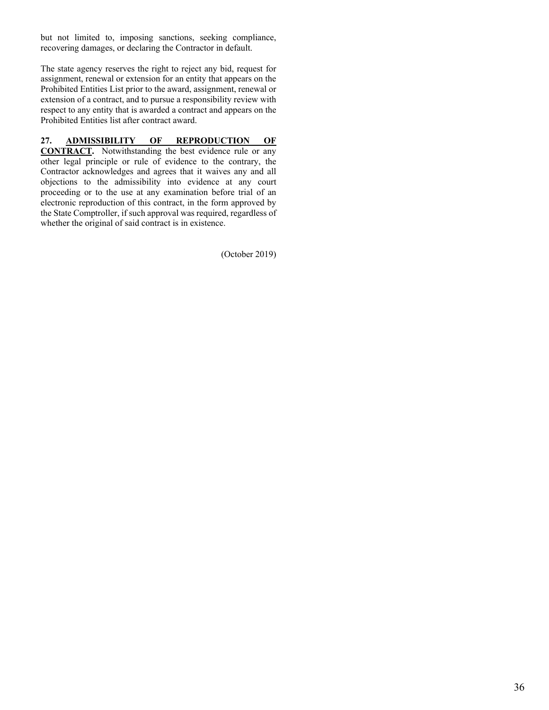but not limited to, imposing sanctions, seeking compliance, recovering damages, or declaring the Contractor in default.

The state agency reserves the right to reject any bid, request for assignment, renewal or extension for an entity that appears on the Prohibited Entities List prior to the award, assignment, renewal or extension of a contract, and to pursue a responsibility review with respect to any entity that is awarded a contract and appears on the Prohibited Entities list after contract award.

#### **27. ADMISSIBILITY OF REPRODUCTION OF**

**CONTRACT.** Notwithstanding the best evidence rule or any other legal principle or rule of evidence to the contrary, the Contractor acknowledges and agrees that it waives any and all objections to the admissibility into evidence at any court proceeding or to the use at any examination before trial of an electronic reproduction of this contract, in the form approved by the State Comptroller, if such approval was required, regardless of whether the original of said contract is in existence.

(October 2019)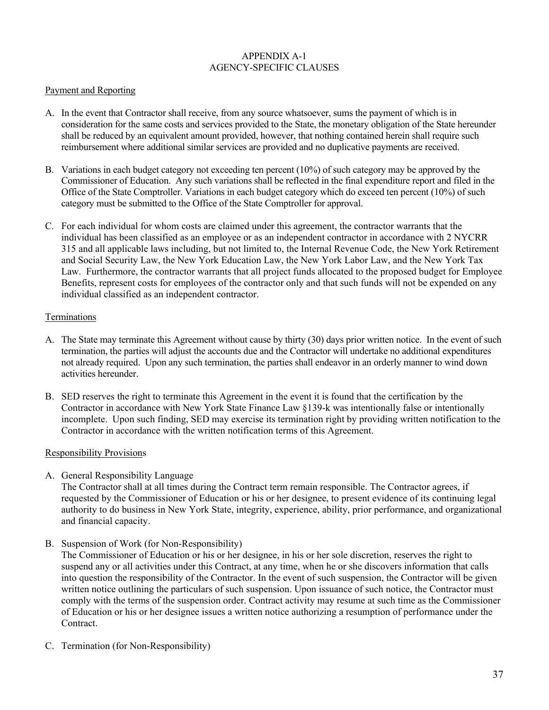#### APPENDIX A-1 AGENCY-SPECIFIC CLAUSES

#### Payment and Reporting

- A. In the event that Contractor shall receive, from any source whatsoever, sums the payment of which is in consideration for the same costs and services provided to the State, the monetary obligation of the State hereunder shall be reduced by an equivalent amount provided, however, that nothing contained herein shall require such reimbursement where additional similar services are provided and no duplicative payments are received.
- B. Variations in each budget category not exceeding ten percent (10%) of such category may be approved by the Commissioner of Education. Any such variations shall be reflected in the final expenditure report and filed in the Office of the State Comptroller. Variations in each budget category which do exceed ten percent (10%) of such category must be submitted to the Office of the State Comptroller for approval.
- C. For each individual for whom costs are claimed under this agreement, the contractor warrants that the individual has been classified as an employee or as an independent contractor in accordance with 2 NYCRR 315 and all applicable laws including, but not limited to, the Internal Revenue Code, the New York Retirement and Social Security Law, the New York Education Law, the New York Labor Law, and the New York Tax Law. Furthermore, the contractor warrants that all project funds allocated to the proposed budget for Employee Benefits, represent costs for employees of the contractor only and that such funds will not be expended on any individual classified as an independent contractor.

#### Terminations

- A. The State may terminate this Agreement without cause by thirty (30) days prior written notice. In the event of such termination, the parties will adjust the accounts due and the Contractor will undertake no additional expenditures not already required. Upon any such termination, the parties shall endeavor in an orderly manner to wind down activities hereunder.
- B. SED reserves the right to terminate this Agreement in the event it is found that the certification by the Contractor in accordance with New York State Finance Law §139-k was intentionally false or intentionally incomplete. Upon such finding, SED may exercise its termination right by providing written notification to the Contractor in accordance with the written notification terms of this Agreement.

#### Responsibility Provisions

A. General Responsibility Language

The Contractor shall at all times during the Contract term remain responsible. The Contractor agrees, if requested by the Commissioner of Education or his or her designee, to present evidence of its continuing legal authority to do business in New York State, integrity, experience, ability, prior performance, and organizational and financial capacity.

B. Suspension of Work (for Non-Responsibility)

The Commissioner of Education or his or her designee, in his or her sole discretion, reserves the right to suspend any or all activities under this Contract, at any time, when he or she discovers information that calls into question the responsibility of the Contractor. In the event of such suspension, the Contractor will be given written notice outlining the particulars of such suspension. Upon issuance of such notice, the Contractor must comply with the terms of the suspension order. Contract activity may resume at such time as the Commissioner of Education or his or her designee issues a written notice authorizing a resumption of performance under the Contract.

C. Termination (for Non-Responsibility)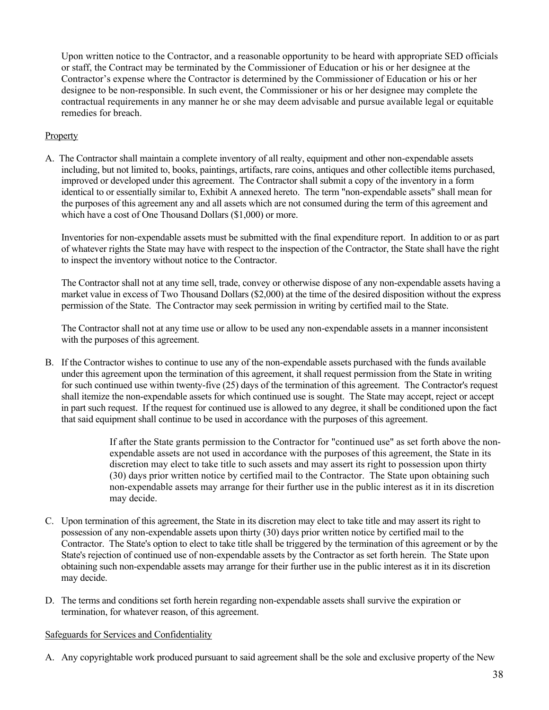Upon written notice to the Contractor, and a reasonable opportunity to be heard with appropriate SED officials or staff, the Contract may be terminated by the Commissioner of Education or his or her designee at the Contractor's expense where the Contractor is determined by the Commissioner of Education or his or her designee to be non-responsible. In such event, the Commissioner or his or her designee may complete the contractual requirements in any manner he or she may deem advisable and pursue available legal or equitable remedies for breach.

#### **Property**

A. The Contractor shall maintain a complete inventory of all realty, equipment and other non-expendable assets including, but not limited to, books, paintings, artifacts, rare coins, antiques and other collectible items purchased, improved or developed under this agreement. The Contractor shall submit a copy of the inventory in a form identical to or essentially similar to, Exhibit A annexed hereto. The term "non-expendable assets" shall mean for the purposes of this agreement any and all assets which are not consumed during the term of this agreement and which have a cost of One Thousand Dollars (\$1,000) or more.

Inventories for non-expendable assets must be submitted with the final expenditure report. In addition to or as part of whatever rights the State may have with respect to the inspection of the Contractor, the State shall have the right to inspect the inventory without notice to the Contractor.

The Contractor shall not at any time sell, trade, convey or otherwise dispose of any non-expendable assets having a market value in excess of Two Thousand Dollars (\$2,000) at the time of the desired disposition without the express permission of the State. The Contractor may seek permission in writing by certified mail to the State.

The Contractor shall not at any time use or allow to be used any non-expendable assets in a manner inconsistent with the purposes of this agreement.

B. If the Contractor wishes to continue to use any of the non-expendable assets purchased with the funds available under this agreement upon the termination of this agreement, it shall request permission from the State in writing for such continued use within twenty-five (25) days of the termination of this agreement. The Contractor's request shall itemize the non-expendable assets for which continued use is sought. The State may accept, reject or accept in part such request. If the request for continued use is allowed to any degree, it shall be conditioned upon the fact that said equipment shall continue to be used in accordance with the purposes of this agreement.

> If after the State grants permission to the Contractor for "continued use" as set forth above the nonexpendable assets are not used in accordance with the purposes of this agreement, the State in its discretion may elect to take title to such assets and may assert its right to possession upon thirty (30) days prior written notice by certified mail to the Contractor. The State upon obtaining such non-expendable assets may arrange for their further use in the public interest as it in its discretion may decide.

- C. Upon termination of this agreement, the State in its discretion may elect to take title and may assert its right to possession of any non-expendable assets upon thirty (30) days prior written notice by certified mail to the Contractor. The State's option to elect to take title shall be triggered by the termination of this agreement or by the State's rejection of continued use of non-expendable assets by the Contractor as set forth herein. The State upon obtaining such non-expendable assets may arrange for their further use in the public interest as it in its discretion may decide.
- D. The terms and conditions set forth herein regarding non-expendable assets shall survive the expiration or termination, for whatever reason, of this agreement.

#### Safeguards for Services and Confidentiality

A. Any copyrightable work produced pursuant to said agreement shall be the sole and exclusive property of the New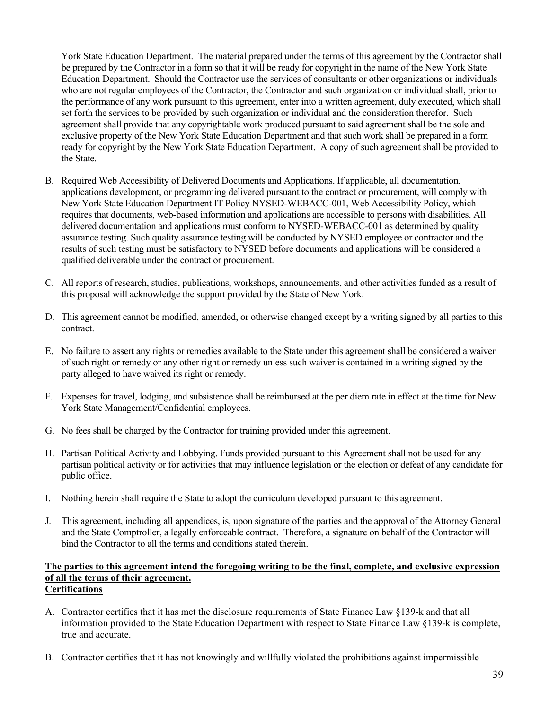York State Education Department. The material prepared under the terms of this agreement by the Contractor shall be prepared by the Contractor in a form so that it will be ready for copyright in the name of the New York State Education Department. Should the Contractor use the services of consultants or other organizations or individuals who are not regular employees of the Contractor, the Contractor and such organization or individual shall, prior to the performance of any work pursuant to this agreement, enter into a written agreement, duly executed, which shall set forth the services to be provided by such organization or individual and the consideration therefor. Such agreement shall provide that any copyrightable work produced pursuant to said agreement shall be the sole and exclusive property of the New York State Education Department and that such work shall be prepared in a form ready for copyright by the New York State Education Department. A copy of such agreement shall be provided to the State.

- B. Required Web Accessibility of Delivered Documents and Applications. If applicable, all documentation, applications development, or programming delivered pursuant to the contract or procurement, will comply with New York State Education Department IT Policy NYSED-WEBACC-001, Web Accessibility Policy, which requires that documents, web-based information and applications are accessible to persons with disabilities. All delivered documentation and applications must conform to NYSED-WEBACC-001 as determined by quality assurance testing. Such quality assurance testing will be conducted by NYSED employee or contractor and the results of such testing must be satisfactory to NYSED before documents and applications will be considered a qualified deliverable under the contract or procurement.
- C. All reports of research, studies, publications, workshops, announcements, and other activities funded as a result of this proposal will acknowledge the support provided by the State of New York.
- D. This agreement cannot be modified, amended, or otherwise changed except by a writing signed by all parties to this contract.
- E. No failure to assert any rights or remedies available to the State under this agreement shall be considered a waiver of such right or remedy or any other right or remedy unless such waiver is contained in a writing signed by the party alleged to have waived its right or remedy.
- F. Expenses for travel, lodging, and subsistence shall be reimbursed at the per diem rate in effect at the time for New York State Management/Confidential employees.
- G. No fees shall be charged by the Contractor for training provided under this agreement.
- H. Partisan Political Activity and Lobbying. Funds provided pursuant to this Agreement shall not be used for any partisan political activity or for activities that may influence legislation or the election or defeat of any candidate for public office.
- I. Nothing herein shall require the State to adopt the curriculum developed pursuant to this agreement.
- J. This agreement, including all appendices, is, upon signature of the parties and the approval of the Attorney General and the State Comptroller, a legally enforceable contract. Therefore, a signature on behalf of the Contractor will bind the Contractor to all the terms and conditions stated therein.

#### **The parties to this agreement intend the foregoing writing to be the final, complete, and exclusive expression of all the terms of their agreement. Certifications**

- A. Contractor certifies that it has met the disclosure requirements of State Finance Law §139-k and that all information provided to the State Education Department with respect to State Finance Law §139-k is complete, true and accurate.
- B. Contractor certifies that it has not knowingly and willfully violated the prohibitions against impermissible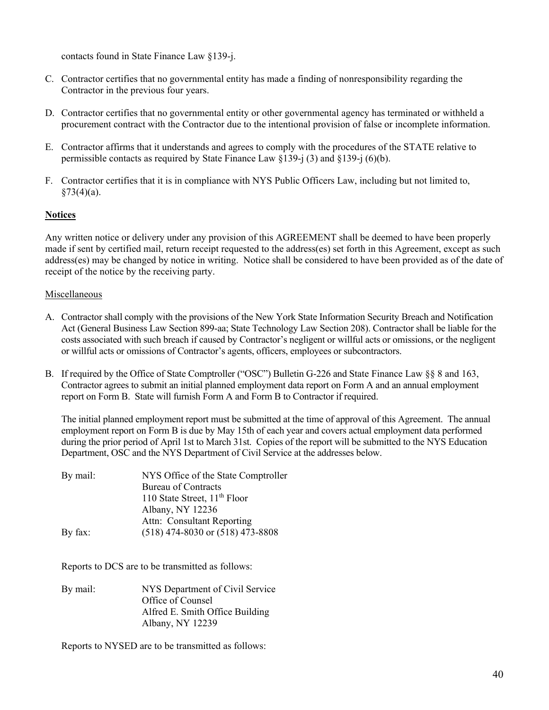contacts found in State Finance Law §139-j.

- C. Contractor certifies that no governmental entity has made a finding of nonresponsibility regarding the Contractor in the previous four years.
- D. Contractor certifies that no governmental entity or other governmental agency has terminated or withheld a procurement contract with the Contractor due to the intentional provision of false or incomplete information.
- E. Contractor affirms that it understands and agrees to comply with the procedures of the STATE relative to permissible contacts as required by State Finance Law §139-j (3) and §139-j (6)(b).
- F. Contractor certifies that it is in compliance with NYS Public Officers Law, including but not limited to,  $§73(4)(a)$ .

#### **Notices**

Any written notice or delivery under any provision of this AGREEMENT shall be deemed to have been properly made if sent by certified mail, return receipt requested to the address(es) set forth in this Agreement, except as such address(es) may be changed by notice in writing. Notice shall be considered to have been provided as of the date of receipt of the notice by the receiving party.

#### Miscellaneous

- A. Contractor shall comply with the provisions of the New York State Information Security Breach and Notification Act (General Business Law Section 899-aa; State Technology Law Section 208). Contractor shall be liable for the costs associated with such breach if caused by Contractor's negligent or willful acts or omissions, or the negligent or willful acts or omissions of Contractor's agents, officers, employees or subcontractors.
- B. If required by the Office of State Comptroller ("OSC") Bulletin G-226 and State Finance Law §§ 8 and 163, Contractor agrees to submit an initial planned employment data report on Form A and an annual employment report on Form B. State will furnish Form A and Form B to Contractor if required.

The initial planned employment report must be submitted at the time of approval of this Agreement. The annual employment report on Form B is due by May 15th of each year and covers actual employment data performed during the prior period of April 1st to March 31st. Copies of the report will be submitted to the NYS Education Department, OSC and the NYS Department of Civil Service at the addresses below.

| NYS Office of the State Comptroller      |
|------------------------------------------|
| <b>Bureau of Contracts</b>               |
| 110 State Street, 11 <sup>th</sup> Floor |
| Albany, NY 12236                         |
| Attn: Consultant Reporting               |
| $(518)$ 474-8030 or $(518)$ 473-8808     |
|                                          |

Reports to DCS are to be transmitted as follows:

By mail: NYS Department of Civil Service Office of Counsel Alfred E. Smith Office Building Albany, NY 12239

Reports to NYSED are to be transmitted as follows: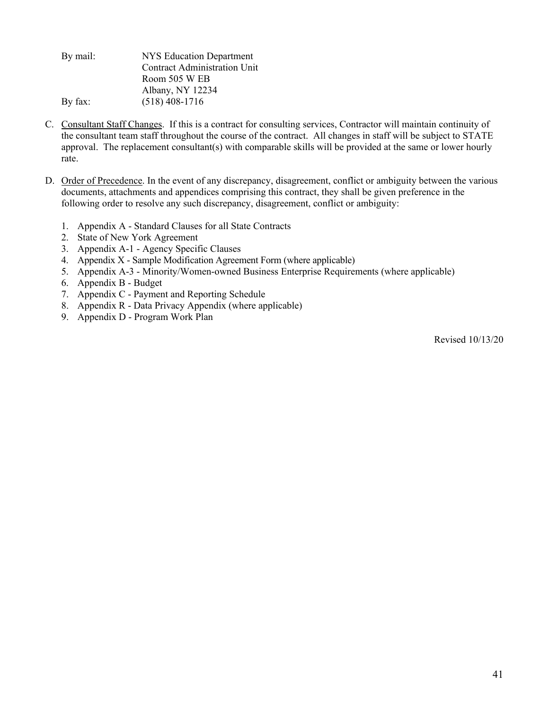By mail: NYS Education Department Contract Administration Unit Room 505 W EB Albany, NY 12234 By fax: (518) 408-1716

- C. Consultant Staff Changes. If this is a contract for consulting services, Contractor will maintain continuity of the consultant team staff throughout the course of the contract. All changes in staff will be subject to STATE approval. The replacement consultant(s) with comparable skills will be provided at the same or lower hourly rate.
- D. Order of Precedence. In the event of any discrepancy, disagreement, conflict or ambiguity between the various documents, attachments and appendices comprising this contract, they shall be given preference in the following order to resolve any such discrepancy, disagreement, conflict or ambiguity:
	- 1. Appendix A Standard Clauses for all State Contracts
	- 2. State of New York Agreement
	- 3. Appendix A-1 Agency Specific Clauses
	- 4. Appendix X Sample Modification Agreement Form (where applicable)
	- 5. Appendix A-3 Minority/Women-owned Business Enterprise Requirements (where applicable)
	- 6. Appendix B Budget
	- 7. Appendix C Payment and Reporting Schedule
	- 8. Appendix R Data Privacy Appendix (where applicable)
	- 9. Appendix D Program Work Plan

Revised 10/13/20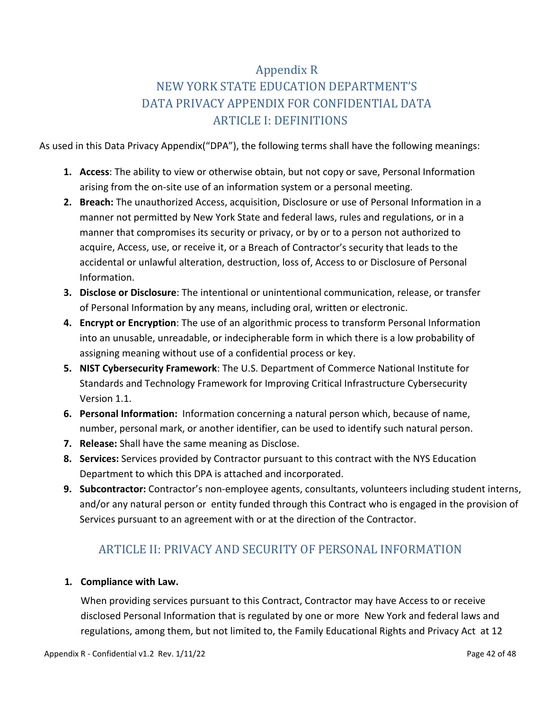# Appendix R

# NEW YORK STATE EDUCATION DEPARTMENT'S DATA PRIVACY APPENDIX FOR CONFIDENTIAL DATA ARTICLE I: DEFINITIONS

As used in this Data Privacy Appendix("DPA"), the following terms shall have the following meanings:

- **1. Access**: The ability to view or otherwise obtain, but not copy or save, Personal Information arising from the on-site use of an information system or a personal meeting.
- **2. Breach:** The unauthorized Access, acquisition, Disclosure or use of Personal Information in a manner not permitted by New York State and federal laws, rules and regulations, or in a manner that compromises its security or privacy, or by or to a person not authorized to acquire, Access, use, or receive it, or a Breach of Contractor's security that leads to the accidental or unlawful alteration, destruction, loss of, Access to or Disclosure of Personal Information.
- **3. Disclose or Disclosure**: The intentional or unintentional communication, release, or transfer of Personal Information by any means, including oral, written or electronic.
- **4. Encrypt or Encryption**: The use of an algorithmic process to transform Personal Information into an unusable, unreadable, or indecipherable form in which there is a low probability of assigning meaning without use of a confidential process or key.
- **5. NIST Cybersecurity Framework**: The U.S. Department of Commerce National Institute for Standards and Technology Framework for Improving Critical Infrastructure Cybersecurity Version 1.1.
- **6. Personal Information:** Information concerning a natural person which, because of name, number, personal mark, or another identifier, can be used to identify such natural person.
- **7. Release:** Shall have the same meaning as Disclose.
- **8. Services:** Services provided by Contractor pursuant to this contract with the NYS Education Department to which this DPA is attached and incorporated.
- **9. Subcontractor:** Contractor's non-employee agents, consultants, volunteers including student interns, and/or [any natural person](https://www.lawinsider.com/clause/subcontractor) or entity funded through this Contract who is engaged in the provision of Services pursuant to an agreement with or at the direction of the Contractor.

# ARTICLE II: PRIVACY AND SECURITY OF PERSONAL INFORMATION

#### **1. Compliance with Law.**

When providing services pursuant to this Contract, Contractor may have Access to or receive disclosed Personal Information that is regulated by one or more New York and federal laws and regulations, among them, but not limited to, the Family Educational Rights and Privacy Act at 12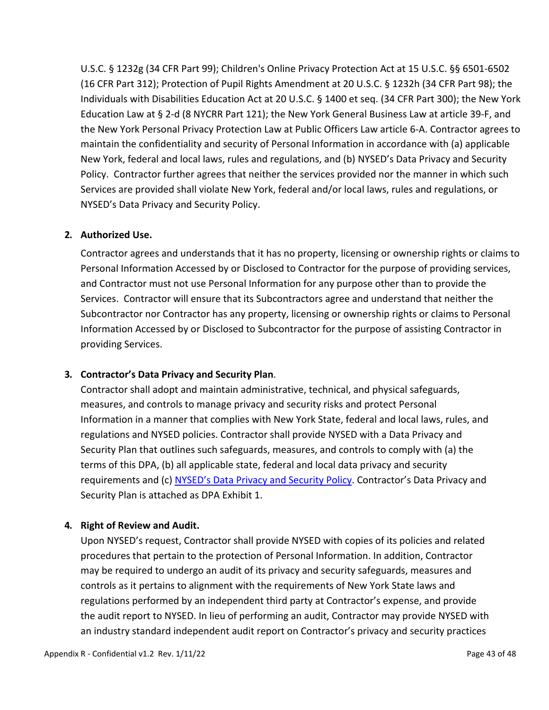U.S.C. § 1232g (34 CFR Part 99); Children's Online Privacy Protection Act at 15 U.S.C. §§ 6501-6502 (16 CFR Part 312); Protection of Pupil Rights Amendment at 20 U.S.C. § 1232h (34 CFR Part 98); the Individuals with Disabilities Education Act at 20 U.S.C. § 1400 et seq. (34 CFR Part 300); the New York Education Law at § 2-d (8 NYCRR Part 121); the New York General Business Law at article 39-F, and the New York Personal Privacy Protection Law at Public Officers Law article 6-A. Contractor agrees to maintain the confidentiality and security of Personal Information in accordance with (a) applicable New York, federal and local laws, rules and regulations, and (b) NYSED's Data Privacy and Security Policy. Contractor further agrees that neither the services provided nor the manner in which such Services are provided shall violate New York, federal and/or local laws, rules and regulations, or NYSED's Data Privacy and Security Policy.

#### **2. Authorized Use.**

Contractor agrees and understands that it has no property, licensing or ownership rights or claims to Personal Information Accessed by or Disclosed to Contractor for the purpose of providing services, and Contractor must not use Personal Information for any purpose other than to provide the Services. Contractor will ensure that its Subcontractors agree and understand that neither the Subcontractor nor Contractor has any property, licensing or ownership rights or claims to Personal Information Accessed by or Disclosed to Subcontractor for the purpose of assisting Contractor in providing Services.

#### **3. Contractor's Data Privacy and Security Plan**.

Contractor shall adopt and maintain administrative, technical, and physical safeguards, measures, and controls to manage privacy and security risks and protect Personal Information in a manner that complies with New York State, federal and local laws, rules, and regulations and NYSED policies. Contractor shall provide NYSED with a Data Privacy and Security Plan that outlines such safeguards, measures, and controls to comply with (a) the terms of this DPA, (b) all applicable state, federal and local data privacy and security requirements and (c) [NYSED's Data Privacy and Security Policy.](http://www.nysed.gov/common/nysed/files/programs/data-privacy-security/master_seddataprivacyandsecuritypolicy_final_june-14-2021_0.pdf) Contractor's Data Privacy and Security Plan is attached as DPA Exhibit 1.

#### **4. Right of Review and Audit.**

Upon NYSED's request, Contractor shall provide NYSED with copies of its policies and related procedures that pertain to the protection of Personal Information. In addition, Contractor may be required to undergo an audit of its privacy and security safeguards, measures and controls as it pertains to alignment with the requirements of New York State laws and regulations performed by an independent third party at Contractor's expense, and provide the audit report to NYSED. In lieu of performing an audit, Contractor may provide NYSED with an industry standard independent audit report on Contractor's privacy and security practices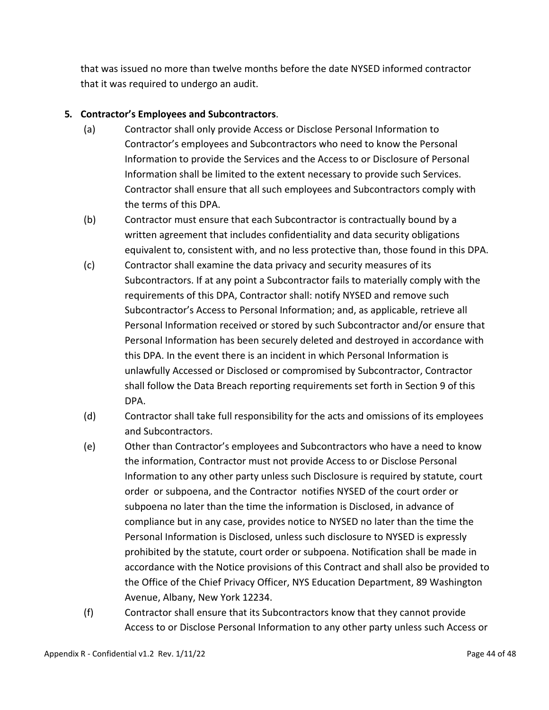that was issued no more than twelve months before the date NYSED informed contractor that it was required to undergo an audit.

#### **5. Contractor's Employees and Subcontractors**.

- (a) Contractor shall only provide Access or Disclose Personal Information to Contractor's employees and Subcontractors who need to know the Personal Information to provide the Services and the Access to or Disclosure of Personal Information shall be limited to the extent necessary to provide such Services. Contractor shall ensure that all such employees and Subcontractors comply with the terms of this DPA.
- (b) Contractor must ensure that each Subcontractor is contractually bound by a written agreement that includes confidentiality and data security obligations equivalent to, consistent with, and no less protective than, those found in this DPA.
- (c) Contractor shall examine the data privacy and security measures of its Subcontractors. If at any point a Subcontractor fails to materially comply with the requirements of this DPA, Contractor shall: notify NYSED and remove such Subcontractor's Access to Personal Information; and, as applicable, retrieve all Personal Information received or stored by such Subcontractor and/or ensure that Personal Information has been securely deleted and destroyed in accordance with this DPA. In the event there is an incident in which Personal Information is unlawfully Accessed or Disclosed or compromised by Subcontractor, Contractor shall follow the Data Breach reporting requirements set forth in Section 9 of this DPA.
- (d) Contractor shall take full responsibility for the acts and omissions of its employees and Subcontractors.
- (e) Other than Contractor's employees and Subcontractors who have a need to know the information, Contractor must not provide Access to or Disclose Personal Information to any other party unless such Disclosure is required by statute, court order or subpoena, and the Contractor notifies NYSED of the court order or subpoena no later than the time the information is Disclosed, in advance of compliance but in any case, provides notice to NYSED no later than the time the Personal Information is Disclosed, unless such disclosure to NYSED is expressly prohibited by the statute, court order or subpoena. Notification shall be made in accordance with the Notice provisions of this Contract and shall also be provided to the Office of the Chief Privacy Officer, NYS Education Department, 89 Washington Avenue, Albany, New York 12234.
- (f) Contractor shall ensure that its Subcontractors know that they cannot provide Access to or Disclose Personal Information to any other party unless such Access or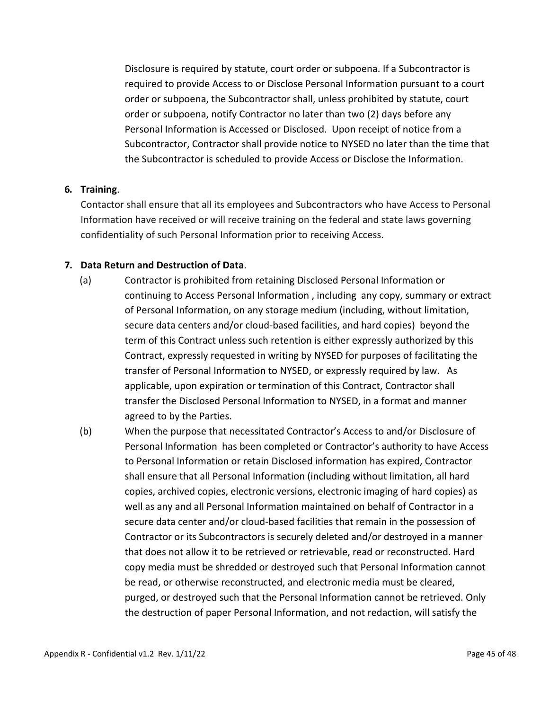Disclosure is required by statute, court order or subpoena. If a Subcontractor is required to provide Access to or Disclose Personal Information pursuant to a court order or subpoena, the Subcontractor shall, unless prohibited by statute, court order or subpoena, notify Contractor no later than two (2) days before any Personal Information is Accessed or Disclosed. Upon receipt of notice from a Subcontractor, Contractor shall provide notice to NYSED no later than the time that the Subcontractor is scheduled to provide Access or Disclose the Information.

#### **6. Training**.

Contactor shall ensure that all its employees and Subcontractors who have Access to Personal Information have received or will receive training on the federal and state laws governing confidentiality of such Personal Information prior to receiving Access.

#### **7. Data Return and Destruction of Data**.

- (a) Contractor is prohibited from retaining Disclosed Personal Information or continuing to Access Personal Information , including any copy, summary or extract of Personal Information, on any storage medium (including, without limitation, secure data centers and/or cloud-based facilities, and hard copies) beyond the term of this Contract unless such retention is either expressly authorized by this Contract, expressly requested in writing by NYSED for purposes of facilitating the transfer of Personal Information to NYSED, or expressly required by law. As applicable, upon expiration or termination of this Contract, Contractor shall transfer the Disclosed Personal Information to NYSED, in a format and manner agreed to by the Parties.
- (b) When the purpose that necessitated Contractor's Access to and/or Disclosure of Personal Information has been completed or Contractor's authority to have Access to Personal Information or retain Disclosed information has expired, Contractor shall ensure that all Personal Information (including without limitation, all hard copies, archived copies, electronic versions, electronic imaging of hard copies) as well as any and all Personal Information maintained on behalf of Contractor in a secure data center and/or cloud-based facilities that remain in the possession of Contractor or its Subcontractors is securely deleted and/or destroyed in a manner that does not allow it to be retrieved or retrievable, read or reconstructed. Hard copy media must be shredded or destroyed such that Personal Information cannot be read, or otherwise reconstructed, and electronic media must be cleared, purged, or destroyed such that the Personal Information cannot be retrieved. Only the destruction of paper Personal Information, and not redaction, will satisfy the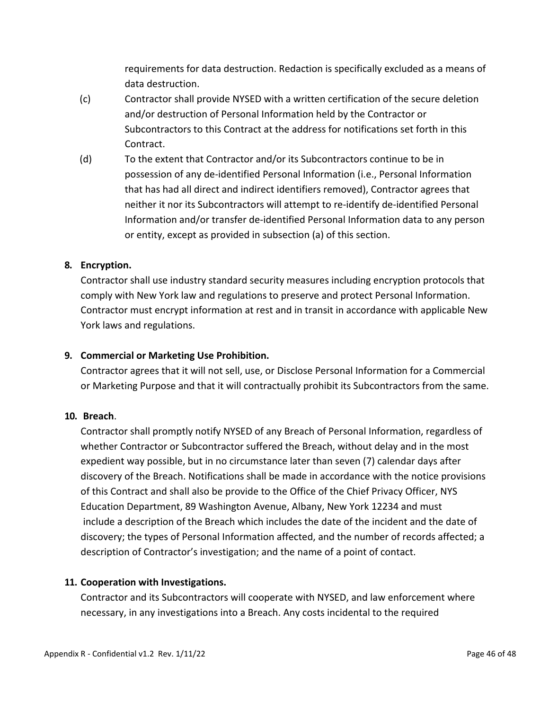requirements for data destruction. Redaction is specifically excluded as a means of data destruction.

- (c) Contractor shall provide NYSED with a written certification of the secure deletion and/or destruction of Personal Information held by the Contractor or Subcontractors to this Contract at the address for notifications set forth in this Contract.
- (d) To the extent that Contractor and/or its Subcontractors continue to be in possession of any de-identified Personal Information (i.e., Personal Information that has had all direct and indirect identifiers removed), Contractor agrees that neither it nor its Subcontractors will attempt to re-identify de-identified Personal Information and/or transfer de-identified Personal Information data to any person or entity, except as provided in subsection (a) of this section.

#### **8. Encryption.**

Contractor shall use industry standard security measures including encryption protocols that comply with New York law and regulations to preserve and protect Personal Information. Contractor must encrypt information at rest and in transit in accordance with applicable New York laws and regulations.

#### **9. Commercial or Marketing Use Prohibition.**

Contractor agrees that it will not sell, use, or Disclose Personal Information for a Commercial or Marketing Purpose and that it will contractually prohibit its Subcontractors from the same.

#### **10. Breach**.

Contractor shall promptly notify NYSED of any Breach of Personal Information, regardless of whether Contractor or Subcontractor suffered the Breach, without delay and in the most expedient way possible, but in no circumstance later than seven (7) calendar days after discovery of the Breach. Notifications shall be made in accordance with the notice provisions of this Contract and shall also be provide to the Office of the Chief Privacy Officer, NYS Education Department, 89 Washington Avenue, Albany, New York 12234 and must include a description of the Breach which includes the date of the incident and the date of discovery; the types of Personal Information affected, and the number of records affected; a description of Contractor's investigation; and the name of a point of contact.

#### **11. Cooperation with Investigations.**

Contractor and its Subcontractors will cooperate with NYSED, and law enforcement where necessary, in any investigations into a Breach. Any costs incidental to the required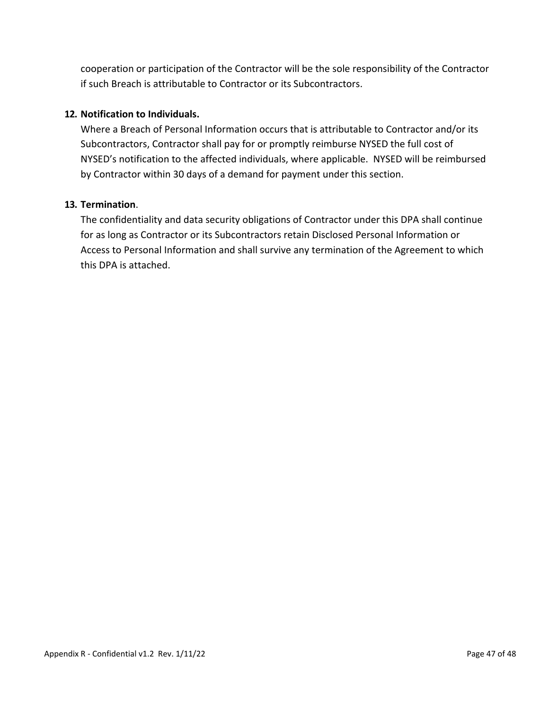cooperation or participation of the Contractor will be the sole responsibility of the Contractor if such Breach is attributable to Contractor or its Subcontractors.

#### **12. Notification to Individuals.**

Where a Breach of Personal Information occurs that is attributable to Contractor and/or its Subcontractors, Contractor shall pay for or promptly reimburse NYSED the full cost of NYSED's notification to the affected individuals, where applicable. NYSED will be reimbursed by Contractor within 30 days of a demand for payment under this section.

#### **13. Termination**.

The confidentiality and data security obligations of Contractor under this DPA shall continue for as long as Contractor or its Subcontractors retain Disclosed Personal Information or Access to Personal Information and shall survive any termination of the Agreement to which this DPA is attached.